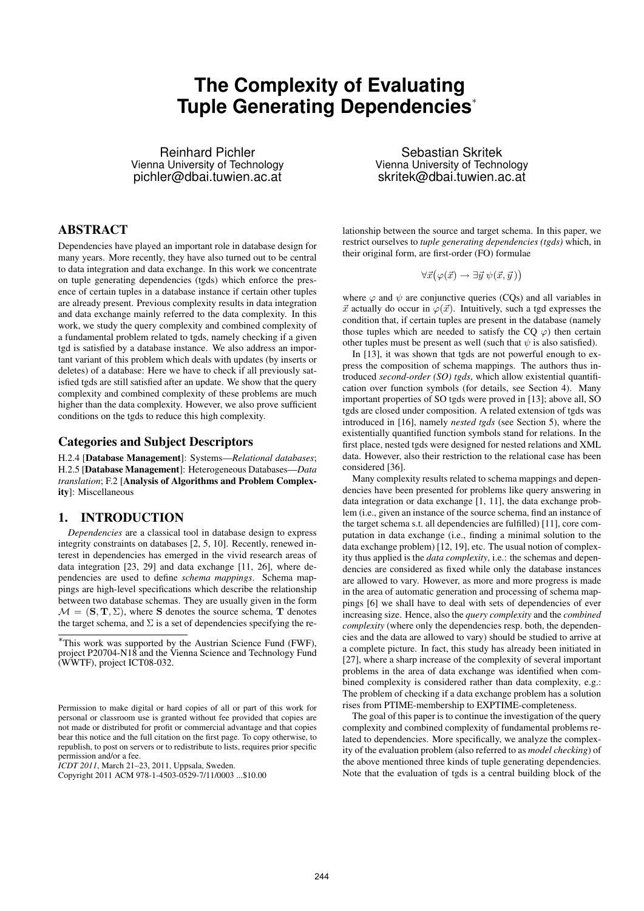# **The Complexity of Evaluating Tuple Generating Dependencies**<sup>∗</sup>

Reinhard Pichler Vienna University of Technology pichler@dbai.tuwien.ac.at

# ABSTRACT

Dependencies have played an important role in database design for many years. More recently, they have also turned out to be central to data integration and data exchange. In this work we concentrate on tuple generating dependencies (tgds) which enforce the presence of certain tuples in a database instance if certain other tuples are already present. Previous complexity results in data integration and data exchange mainly referred to the data complexity. In this work, we study the query complexity and combined complexity of a fundamental problem related to tgds, namely checking if a given tgd is satisfied by a database instance. We also address an important variant of this problem which deals with updates (by inserts or deletes) of a database: Here we have to check if all previously satisfied tgds are still satisfied after an update. We show that the query complexity and combined complexity of these problems are much higher than the data complexity. However, we also prove sufficient conditions on the tgds to reduce this high complexity.

#### Categories and Subject Descriptors

H.2.4 [Database Management]: Systems—*Relational databases*; H.2.5 [Database Management]: Heterogeneous Databases—*Data translation*; F.2 [Analysis of Algorithms and Problem Complexity]: Miscellaneous

# 1. INTRODUCTION

*Dependencies* are a classical tool in database design to express integrity constraints on databases [2, 5, 10]. Recently, renewed interest in dependencies has emerged in the vivid research areas of data integration [23, 29] and data exchange [11, 26], where dependencies are used to define *schema mappings*. Schema mappings are high-level specifications which describe the relationship between two database schemas. They are usually given in the form  $M = (S, T, \Sigma)$ , where S denotes the source schema, T denotes the target schema, and  $\Sigma$  is a set of dependencies specifying the re-

*ICDT 2011*, March 21–23, 2011, Uppsala, Sweden.

Sebastian Skritek Vienna University of Technology skritek@dbai.tuwien.ac.at

lationship between the source and target schema. In this paper, we restrict ourselves to *tuple generating dependencies (tgds)* which, in their original form, are first-order (FO) formulae

$$
\forall \vec{x} (\varphi(\vec{x}) \rightarrow \exists \vec{y} \ \psi(\vec{x}, \vec{y}))
$$

where  $\varphi$  and  $\psi$  are conjunctive queries (COs) and all variables in  $\vec{x}$  actually do occur in  $\varphi(\vec{x})$ . Intuitively, such a tgd expresses the condition that, if certain tuples are present in the database (namely those tuples which are needed to satisfy the CQ  $\varphi$ ) then certain other tuples must be present as well (such that  $\psi$  is also satisfied).

In [13], it was shown that tgds are not powerful enough to express the composition of schema mappings. The authors thus introduced *second-order (SO) tgds*, which allow existential quantification over function symbols (for details, see Section 4). Many important properties of SO tgds were proved in [13]; above all, SO tgds are closed under composition. A related extension of tgds was introduced in [16], namely *nested tgds* (see Section 5), where the existentially quantified function symbols stand for relations. In the first place, nested tgds were designed for nested relations and XML data. However, also their restriction to the relational case has been considered [36].

Many complexity results related to schema mappings and dependencies have been presented for problems like query answering in data integration or data exchange [1, 11], the data exchange problem (i.e., given an instance of the source schema, find an instance of the target schema s.t. all dependencies are fulfilled) [11], core computation in data exchange (i.e., finding a minimal solution to the data exchange problem) [12, 19], etc. The usual notion of complexity thus applied is the *data complexity*, i.e.: the schemas and dependencies are considered as fixed while only the database instances are allowed to vary. However, as more and more progress is made in the area of automatic generation and processing of schema mappings [6] we shall have to deal with sets of dependencies of ever increasing size. Hence, also the *query complexity* and the *combined complexity* (where only the dependencies resp. both, the dependencies and the data are allowed to vary) should be studied to arrive at a complete picture. In fact, this study has already been initiated in [27], where a sharp increase of the complexity of several important problems in the area of data exchange was identified when combined complexity is considered rather than data complexity, e.g.: The problem of checking if a data exchange problem has a solution rises from PTIME-membership to EXPTIME-completeness.

The goal of this paper is to continue the investigation of the query complexity and combined complexity of fundamental problems related to dependencies. More specifically, we analyze the complexity of the evaluation problem (also referred to as *model checking*) of the above mentioned three kinds of tuple generating dependencies. Note that the evaluation of tgds is a central building block of the

<sup>∗</sup>This work was supported by the Austrian Science Fund (FWF), project P20704-N18 and the Vienna Science and Technology Fund (WWTF), project ICT08-032.

Permission to make digital or hard copies of all or part of this work for personal or classroom use is granted without fee provided that copies are not made or distributed for profit or commercial advantage and that copies bear this notice and the full citation on the first page. To copy otherwise, to republish, to post on servers or to redistribute to lists, requires prior specific permission and/or a fee.

Copyright 2011 ACM 978-1-4503-0529-7/11/0003 ...\$10.00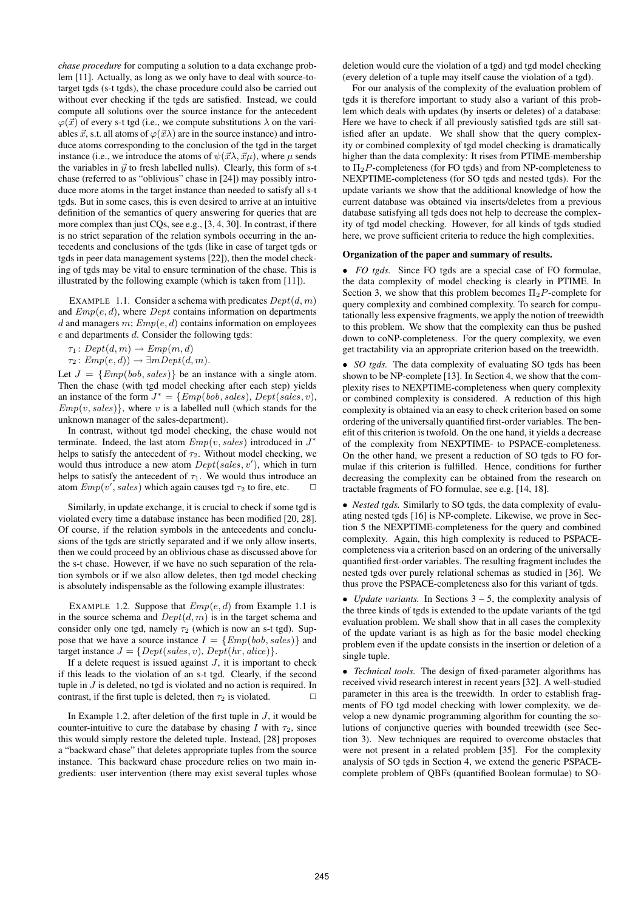*chase procedure* for computing a solution to a data exchange problem [11]. Actually, as long as we only have to deal with source-totarget tgds (s-t tgds), the chase procedure could also be carried out without ever checking if the tgds are satisfied. Instead, we could compute all solutions over the source instance for the antecedent  $\varphi(\vec{x})$  of every s-t tgd (i.e., we compute substitutions  $\lambda$  on the variables  $\vec{x}$ , s.t. all atoms of  $\varphi(\vec{x}\lambda)$  are in the source instance) and introduce atoms corresponding to the conclusion of the tgd in the target instance (i.e., we introduce the atoms of  $\psi(\vec{x}\lambda, \vec{x}\mu)$ , where  $\mu$  sends the variables in  $\vec{y}$  to fresh labelled nulls). Clearly, this form of s-t chase (referred to as "oblivious" chase in [24]) may possibly introduce more atoms in the target instance than needed to satisfy all s-t tgds. But in some cases, this is even desired to arrive at an intuitive definition of the semantics of query answering for queries that are more complex than just CQs, see e.g., [3, 4, 30]. In contrast, if there is no strict separation of the relation symbols occurring in the antecedents and conclusions of the tgds (like in case of target tgds or tgds in peer data management systems [22]), then the model checking of tgds may be vital to ensure termination of the chase. This is illustrated by the following example (which is taken from [11]).

EXAMPLE 1.1. Consider a schema with predicates  $Depth(d, m)$ and  $Emp(e, d)$ , where  $Depth$  contains information on departments  $d$  and managers  $m$ ;  $Emp(e, d)$  contains information on employees  $e$  and departments  $d$ . Consider the following tgds:

 $\tau_1$ :  $Depth(d,m)\rightarrow Emp(m,d)$ 

 $\tau_2$ :  $Emp(e, d)) \rightarrow \exists mDepth(d, m).$ 

Let  $J = \{Emp(bob, sales)\}\$ be an instance with a single atom. Then the chase (with tgd model checking after each step) yields an instance of the form  $J^* = \{Emp(bob, sales), Dept(sales, v),\}$  $Emp(v, sales)$ , where v is a labelled null (which stands for the unknown manager of the sales-department).

In contrast, without tgd model checking, the chase would not terminate. Indeed, the last atom  $Emp(v, sales)$  introduced in  $J^*$ helps to satisfy the antecedent of  $\tau_2$ . Without model checking, we would thus introduce a new atom  $Depth(sales, v')$ , which in turn helps to satisfy the antecedent of  $\tau_1$ . We would thus introduce an atom  $Emp(v', sales)$  which again causes tgd  $\tau_2$  to fire, etc.  $\Box$ 

Similarly, in update exchange, it is crucial to check if some tgd is violated every time a database instance has been modified [20, 28]. Of course, if the relation symbols in the antecedents and conclusions of the tgds are strictly separated and if we only allow inserts, then we could proceed by an oblivious chase as discussed above for the s-t chase. However, if we have no such separation of the relation symbols or if we also allow deletes, then tgd model checking is absolutely indispensable as the following example illustrates:

EXAMPLE 1.2. Suppose that  $Emp(e, d)$  from Example 1.1 is in the source schema and  $Depth(d, m)$  is in the target schema and consider only one tgd, namely  $\tau_2$  (which is now an s-t tgd). Suppose that we have a source instance  $I = \{Emp(bob, sales)\}$  and target instance  $J = \{Depth(sales, v), Dept(hr,alice)\}.$ 

If a delete request is issued against  $J$ , it is important to check if this leads to the violation of an s-t tgd. Clearly, if the second tuple in  $J$  is deleted, no tgd is violated and no action is required. In contrast, if the first tuple is deleted, then  $\tau_2$  is violated.

In Example 1.2, after deletion of the first tuple in  $J$ , it would be counter-intuitive to cure the database by chasing I with  $\tau_2$ , since this would simply restore the deleted tuple. Instead, [28] proposes a "backward chase" that deletes appropriate tuples from the source instance. This backward chase procedure relies on two main ingredients: user intervention (there may exist several tuples whose deletion would cure the violation of a tgd) and tgd model checking (every deletion of a tuple may itself cause the violation of a tgd).

For our analysis of the complexity of the evaluation problem of tgds it is therefore important to study also a variant of this problem which deals with updates (by inserts or deletes) of a database: Here we have to check if all previously satisfied tgds are still satisfied after an update. We shall show that the query complexity or combined complexity of tgd model checking is dramatically higher than the data complexity: It rises from PTIME-membership to  $\Pi_2P$ -completeness (for FO tgds) and from NP-completeness to NEXPTIME-completeness (for SO tgds and nested tgds). For the update variants we show that the additional knowledge of how the current database was obtained via inserts/deletes from a previous database satisfying all tgds does not help to decrease the complexity of tgd model checking. However, for all kinds of tgds studied here, we prove sufficient criteria to reduce the high complexities.

#### Organization of the paper and summary of results.

• *FO tgds.* Since FO tgds are a special case of FO formulae, the data complexity of model checking is clearly in PTIME. In Section 3, we show that this problem becomes  $\Pi_2P$ -complete for query complexity and combined complexity. To search for computationally less expensive fragments, we apply the notion of treewidth to this problem. We show that the complexity can thus be pushed down to coNP-completeness. For the query complexity, we even get tractability via an appropriate criterion based on the treewidth.

• *SO tgds*. The data complexity of evaluating SO tgds has been shown to be NP-complete [13]. In Section 4, we show that the complexity rises to NEXPTIME-completeness when query complexity or combined complexity is considered. A reduction of this high complexity is obtained via an easy to check criterion based on some ordering of the universally quantified first-order variables. The benefit of this criterion is twofold. On the one hand, it yields a decrease of the complexity from NEXPTIME- to PSPACE-completeness. On the other hand, we present a reduction of SO tgds to FO formulae if this criterion is fulfilled. Hence, conditions for further decreasing the complexity can be obtained from the research on tractable fragments of FO formulae, see e.g. [14, 18].

• *Nested tgds.* Similarly to SO tgds, the data complexity of evaluating nested tgds [16] is NP-complete. Likewise, we prove in Section 5 the NEXPTIME-completeness for the query and combined complexity. Again, this high complexity is reduced to PSPACEcompleteness via a criterion based on an ordering of the universally quantified first-order variables. The resulting fragment includes the nested tgds over purely relational schemas as studied in [36]. We thus prove the PSPACE-completeness also for this variant of tgds.

• *Update variants*. In Sections  $3 - 5$ , the complexity analysis of the three kinds of tgds is extended to the update variants of the tgd evaluation problem. We shall show that in all cases the complexity of the update variant is as high as for the basic model checking problem even if the update consists in the insertion or deletion of a single tuple.

• *Technical tools.* The design of fixed-parameter algorithms has received vivid research interest in recent years [32]. A well-studied parameter in this area is the treewidth. In order to establish fragments of FO tgd model checking with lower complexity, we develop a new dynamic programming algorithm for counting the solutions of conjunctive queries with bounded treewidth (see Section 3). New techniques are required to overcome obstacles that were not present in a related problem [35]. For the complexity analysis of SO tgds in Section 4, we extend the generic PSPACEcomplete problem of QBFs (quantified Boolean formulae) to SO-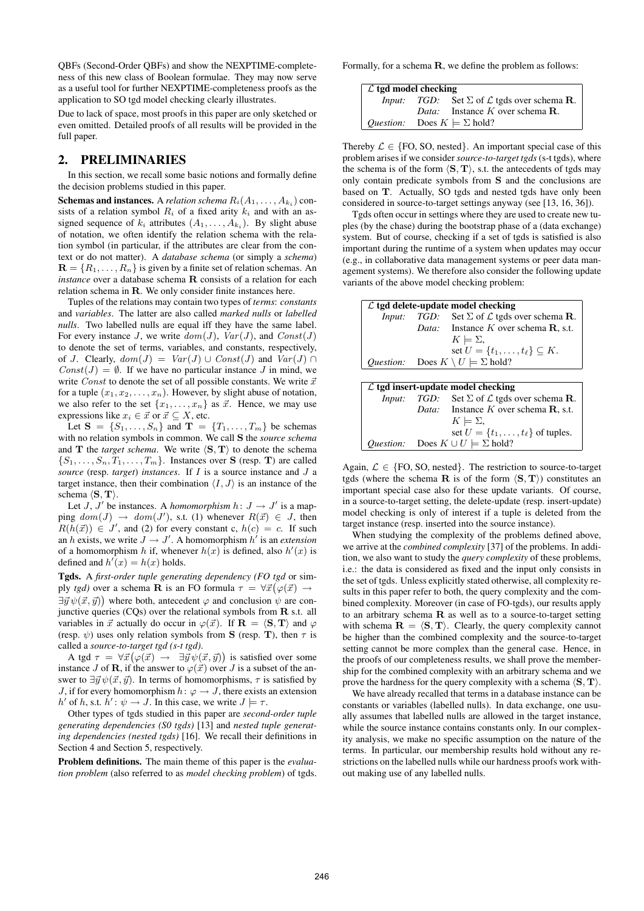QBFs (Second-Order QBFs) and show the NEXPTIME-completeness of this new class of Boolean formulae. They may now serve as a useful tool for further NEXPTIME-completeness proofs as the application to SO tgd model checking clearly illustrates.

Due to lack of space, most proofs in this paper are only sketched or even omitted. Detailed proofs of all results will be provided in the full paper.

#### 2. PRELIMINARIES

In this section, we recall some basic notions and formally define the decision problems studied in this paper.

**Schemas and instances.** A *relation schema*  $R_i(A_1, \ldots, A_{k_i})$  consists of a relation symbol  $R_i$  of a fixed arity  $k_i$  and with an assigned sequence of  $k_i$  attributes  $(A_1, \ldots, A_{k_i})$ . By slight abuse of notation, we often identify the relation schema with the relation symbol (in particular, if the attributes are clear from the context or do not matter). A *database schema* (or simply a *schema*)  $\mathbf{R} = \{R_1, \ldots, R_n\}$  is given by a finite set of relation schemas. An *instance* over a database schema R consists of a relation for each relation schema in R. We only consider finite instances here.

Tuples of the relations may contain two types of *terms*: *constants* and *variables*. The latter are also called *marked nulls* or *labelled nulls*. Two labelled nulls are equal iff they have the same label. For every instance J, we write  $dom(J)$ ,  $Var(J)$ , and  $Const(J)$ to denote the set of terms, variables, and constants, respectively, of J. Clearly,  $dom(J) = Var(J) \cup Const(J)$  and  $Var(J) \cap$  $Const(J) = \emptyset$ . If we have no particular instance J in mind, we write *Const* to denote the set of all possible constants. We write  $\vec{x}$ for a tuple  $(x_1, x_2, \ldots, x_n)$ . However, by slight abuse of notation, we also refer to the set  $\{x_1, \ldots, x_n\}$  as  $\vec{x}$ . Hence, we may use expressions like  $x_i \in \vec{x}$  or  $\vec{x} \subseteq X$ , etc.

Let  $S = \{S_1, \ldots, S_n\}$  and  $T = \{T_1, \ldots, T_m\}$  be schemas with no relation symbols in common. We call S the *source schema* and **T** the *target schema*. We write  $\langle S, T \rangle$  to denote the schema  $\{S_1, \ldots, S_n, T_1, \ldots, T_m\}$ . Instances over **S** (resp. **T**) are called *source* (resp. *target*) *instances*. If I is a source instance and J a target instance, then their combination  $\langle I, J \rangle$  is an instance of the schema  $\langle S, T \rangle$ .

Let  $J, J'$  be instances. A *homomorphism*  $h: J \to J'$  is a mapping  $dom(J) \rightarrow dom(J')$ , s.t. (1) whenever  $R(\vec{x}) \in J$ , then  $R(h(\vec{x})) \in J'$ , and (2) for every constant c,  $h(c) = c$ . If such an *h* exists, we write  $J \to J'$ . A homomorphism  $h'$  is an *extension* of a homomorphism h if, whenever  $h(x)$  is defined, also  $h'(x)$  is defined and  $h'(x) = h(x)$  holds.

Tgds. A *first-order tuple generating dependency (FO tgd* or simply *tgd*) over a schema **R** is an FO formula  $\tau = \forall \vec{x} (\varphi(\vec{x})) \rightarrow$  $\exists \vec{y} \psi(\vec{x}, \vec{y})$  where both, antecedent  $\varphi$  and conclusion  $\psi$  are conjunctive queries  $(CQs)$  over the relational symbols from  $R$  s.t. all variables in  $\vec{x}$  actually do occur in  $\varphi(\vec{x})$ . If  $\mathbf{R} = \langle \mathbf{S}, \mathbf{T} \rangle$  and  $\varphi$ (resp.  $\psi$ ) uses only relation symbols from **S** (resp. **T**), then  $\tau$  is called a *source-to-target tgd (s-t tgd)*.

A tgd  $\tau = \forall \vec{x} (\varphi(\vec{x}) \rightarrow \exists \vec{y} \psi(\vec{x}, \vec{y}))$  is satisfied over some instance J of **R**, if the answer to  $\varphi(\vec{x})$  over J is a subset of the answer to  $\exists \vec{y} \psi(\vec{x}, \vec{y})$ . In terms of homomorphisms,  $\tau$  is satisfied by J, if for every homomorphism  $h: \varphi \to J$ , there exists an extension h' of h, s.t.  $h' : \psi \to J$ . In this case, we write  $J \models \tau$ .

Other types of tgds studied in this paper are *second-order tuple generating dependencies (S0 tgds)* [13] and *nested tuple generating dependencies (nested tgds)* [16]. We recall their definitions in Section 4 and Section 5, respectively.

Problem definitions. The main theme of this paper is the *evaluation problem* (also referred to as *model checking problem*) of tgds. Formally, for a schema R, we define the problem as follows:

| $\mathcal{L}$ tgd model checking |  |                                                                             |  |
|----------------------------------|--|-----------------------------------------------------------------------------|--|
|                                  |  | <i>Input: TGD:</i> Set $\Sigma$ of $\mathcal L$ tgds over schema <b>R</b> . |  |
|                                  |  | <i>Data:</i> Instance $K$ over schema $\mathbf{R}$ .                        |  |
|                                  |  | <i>Question</i> : Does $K \models \Sigma$ hold?                             |  |

Thereby  $\mathcal{L} \in \{FO, SO, nested\}$ . An important special case of this problem arises if we consider *source-to-target tgds* (s-t tgds), where the schema is of the form  $\langle S, T \rangle$ , s.t. the antecedents of tgds may only contain predicate symbols from S and the conclusions are based on T. Actually, SO tgds and nested tgds have only been considered in source-to-target settings anyway (see [13, 16, 36]).

Tgds often occur in settings where they are used to create new tuples (by the chase) during the bootstrap phase of a (data exchange) system. But of course, checking if a set of tgds is satisfied is also important during the runtime of a system when updates may occur (e.g., in collaborative data management systems or peer data management systems). We therefore also consider the following update variants of the above model checking problem:

| $\mathcal{L}$ tgd delete-update model checking |  |                                                                             |
|------------------------------------------------|--|-----------------------------------------------------------------------------|
| Input:                                         |  | <i>TGD</i> : Set $\Sigma$ of $\mathcal L$ tgds over schema <b>R</b> .       |
|                                                |  | <i>Data:</i> Instance $K$ over schema $\mathbf{R}$ , s.t.                   |
|                                                |  | $K \models \Sigma$                                                          |
|                                                |  | set $U = \{t_1, \ldots, t_\ell\} \subseteq K$ .                             |
|                                                |  | <i>Question:</i> Does $K \setminus U \models \Sigma$ hold?                  |
|                                                |  |                                                                             |
| $\mathcal{L}$ tgd insert-update model checking |  |                                                                             |
|                                                |  | <i>Input: TGD:</i> Set $\Sigma$ of $\mathcal L$ tgds over schema <b>R</b> . |
|                                                |  |                                                                             |
|                                                |  | <i>Data:</i> Instance $K$ over schema $\mathbf{R}$ , s.t.                   |
|                                                |  | $K \models \Sigma$                                                          |
|                                                |  | set $U = \{t_1, \ldots, t_\ell\}$ of tuples.                                |

Again,  $\mathcal{L} \in \{FO, SO, nested\}$ . The restriction to source-to-target tgds (where the schema R is of the form  $\langle S, T \rangle$ ) constitutes an important special case also for these update variants. Of course, in a source-to-target setting, the delete-update (resp. insert-update) model checking is only of interest if a tuple is deleted from the target instance (resp. inserted into the source instance).

When studying the complexity of the problems defined above, we arrive at the *combined complexity* [37] of the problems. In addition, we also want to study the *query complexity* of these problems, i.e.: the data is considered as fixed and the input only consists in the set of tgds. Unless explicitly stated otherwise, all complexity results in this paper refer to both, the query complexity and the combined complexity. Moreover (in case of FO-tgds), our results apply to an arbitrary schema  **as well as to a source-to-target setting** with schema  $\mathbf{R} = \langle \mathbf{S}, \mathbf{T} \rangle$ . Clearly, the query complexity cannot be higher than the combined complexity and the source-to-target setting cannot be more complex than the general case. Hence, in the proofs of our completeness results, we shall prove the membership for the combined complexity with an arbitrary schema and we prove the hardness for the query complexity with a schema  $\langle S, T \rangle$ .

We have already recalled that terms in a database instance can be constants or variables (labelled nulls). In data exchange, one usually assumes that labelled nulls are allowed in the target instance, while the source instance contains constants only. In our complexity analysis, we make no specific assumption on the nature of the terms. In particular, our membership results hold without any restrictions on the labelled nulls while our hardness proofs work without making use of any labelled nulls.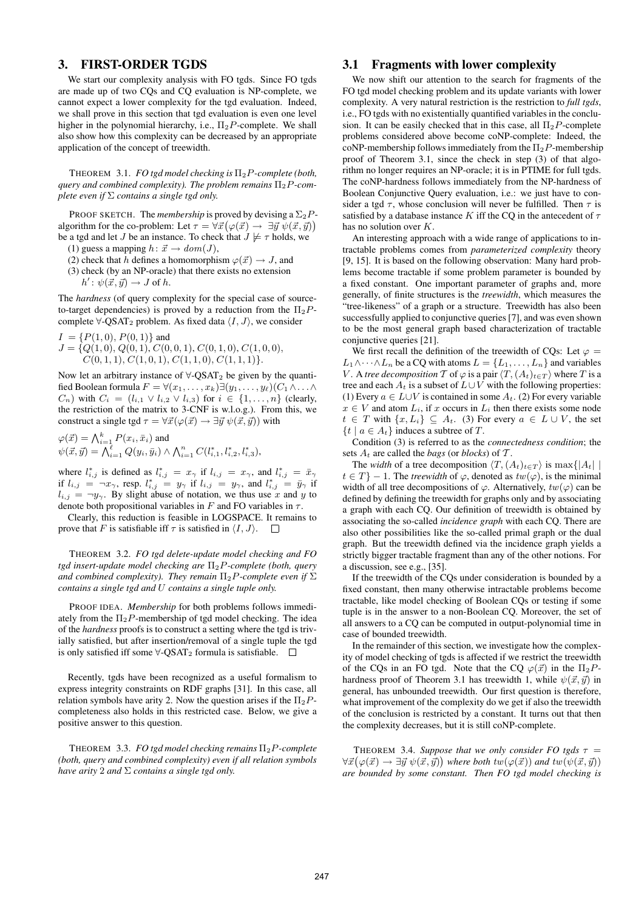# 3. FIRST-ORDER TGDS

We start our complexity analysis with FO tgds. Since FO tgds are made up of two CQs and CQ evaluation is NP-complete, we cannot expect a lower complexity for the tgd evaluation. Indeed, we shall prove in this section that tgd evaluation is even one level higher in the polynomial hierarchy, i.e.,  $\Pi_2P$ -complete. We shall also show how this complexity can be decreased by an appropriate application of the concept of treewidth.

THEOREM 3.1. *FO tgd model checking is*  $\Pi_2P$ -complete (both, *query and combined complexity). The problem remains*  $\Pi_2P$ -com*plete even if* Σ *contains a single tgd only.*

PROOF SKETCH. The *membership* is proved by devising a  $\Sigma_2 P$ algorithm for the co-problem: Let  $\tau = \forall \vec{x} (\varphi(\vec{x}) \rightarrow \exists \vec{y} \ \psi(\vec{x}, \vec{y}))$ be a tgd and let J be an instance. To check that  $J \not\models \tau$  holds, we

- (1) guess a mapping  $h: \vec{x} \rightarrow dom(J)$ ,
- (2) check that h defines a homomorphism  $\varphi(\vec{x}) \to J$ , and
- (3) check (by an NP-oracle) that there exists no extension  $h' \colon \psi(\vec{x}, \vec{y}) \to J$  of h.

The *hardness* (of query complexity for the special case of sourceto-target dependencies) is proved by a reduction from the  $\Pi_2P$ complete  $\forall$ -QSAT<sub>2</sub> problem. As fixed data  $\langle I, J \rangle$ , we consider

$$
I = \{P(1,0), P(0,1)\} \text{ and}
$$
  
\n
$$
J = \{Q(1,0), Q(0,1), C(0,0,1), C(0,1,0), C(1,0,0), C(0,1,1), C(1,0,1), C(1,1,0), C(1,1,1)\}.
$$

Now let an arbitrary instance of  $\forall$ -QSAT<sub>2</sub> be given by the quantified Boolean formula  $F = \forall (x_1, \ldots, x_k) \exists (y_1, \ldots, y_\ell)(C_1 \wedge \ldots \wedge$  $C_n$ ) with  $C_i = (l_{i,1} \vee l_{i,2} \vee l_{i,3})$  for  $i \in \{1, ..., n\}$  (clearly, the restriction of the matrix to 3-CNF is w.l.o.g.). From this, we construct a single tgd  $\tau = \forall \vec{x}(\varphi(\vec{x}) \rightarrow \exists \vec{y} \psi(\vec{x}, \vec{y}))$  with

$$
\varphi(\vec{x}) = \bigwedge_{i=1}^{k} P(x_i, \bar{x}_i) \text{ and}
$$
  
 
$$
\psi(\vec{x}, \vec{y}) = \bigwedge_{i=1}^{l} Q(y_i, \bar{y}_i) \land \bigwedge_{i=1}^{n} C(l_{i,1}^*, l_{i,2}^*, l_{i,3}^*),
$$

where  $l_{i,j}^*$  is defined as  $l_{i,j}^* = x_\gamma$  if  $l_{i,j} = x_\gamma$ , and  $l_{i,j}^* = \bar{x}_\gamma$ if  $l_{i,j} = \neg x_{\gamma}$ , resp.  $l_{i,j}^* = y_{\gamma}$  if  $l_{i,j} = y_{\gamma}$ , and  $l_{i,j}^* = \bar{y}_{\gamma}$  if  $l_{i,j} = \neg y_{\gamma}$ . By slight abuse of notation, we thus use x and y to denote both propositional variables in F and FO variables in  $\tau$ .

Clearly, this reduction is feasible in LOGSPACE. It remains to prove that F is satisfiable iff  $\tau$  is satisfied in  $\langle I, J \rangle$ .  $\Box$ 

THEOREM 3.2. *FO tgd delete-update model checking and FO tgd insert-update model checking are*  $\Pi_2P$ *-complete (both, query and combined complexity). They remain*  $\Pi_2P$ *-complete even if*  $\Sigma$ *contains a single tgd and* U *contains a single tuple only.*

PROOF IDEA. *Membership* for both problems follows immediately from the  $\Pi_2P$ -membership of tgd model checking. The idea of the *hardness* proofs is to construct a setting where the tgd is trivially satisfied, but after insertion/removal of a single tuple the tgd is only satisfied iff some  $\forall$ -QSAT<sub>2</sub> formula is satisfiable.  $\square$ 

Recently, tgds have been recognized as a useful formalism to express integrity constraints on RDF graphs [31]. In this case, all relation symbols have arity 2. Now the question arises if the  $\Pi_2P$ completeness also holds in this restricted case. Below, we give a positive answer to this question.

THEOREM 3.3. *FO tgd model checking remains*  $\Pi_2P$ -complete *(both, query and combined complexity) even if all relation symbols have arity* 2 *and* Σ *contains a single tgd only.*

# 3.1 Fragments with lower complexity

We now shift our attention to the search for fragments of the FO tgd model checking problem and its update variants with lower complexity. A very natural restriction is the restriction to *full tgds*, i.e., FO tgds with no existentially quantified variables in the conclusion. It can be easily checked that in this case, all  $\Pi_2P$ -complete problems considered above become coNP-complete: Indeed, the coNP-membership follows immediately from the  $\Pi_2P$ -membership proof of Theorem 3.1, since the check in step (3) of that algorithm no longer requires an NP-oracle; it is in PTIME for full tgds. The coNP-hardness follows immediately from the NP-hardness of Boolean Conjunctive Query evaluation, i.e.: we just have to consider a tgd  $\tau$ , whose conclusion will never be fulfilled. Then  $\tau$  is satisfied by a database instance K iff the CO in the antecedent of  $\tau$ has no solution over K.

An interesting approach with a wide range of applications to intractable problems comes from *parameterized complexity* theory [9, 15]. It is based on the following observation: Many hard problems become tractable if some problem parameter is bounded by a fixed constant. One important parameter of graphs and, more generally, of finite structures is the *treewidth*, which measures the "tree-likeness" of a graph or a structure. Treewidth has also been successfully applied to conjunctive queries [7], and was even shown to be the most general graph based characterization of tractable conjunctive queries [21].

We first recall the definition of the treewidth of CQs: Let  $\varphi =$  $L_1 \wedge \cdots \wedge L_n$  be a CQ with atoms  $L = \{L_1, \ldots, L_n\}$  and variables *V*. A *tree decomposition*  $T$  of  $\varphi$  is a pair  $\langle T, (A_t)_{t\in T} \rangle$  where  $T$  is a tree and each  $A_t$  is a subset of  $L\cup V$  with the following properties: (1) Every  $a \in L \cup V$  is contained in some  $A_t$ . (2) For every variable  $x \in V$  and atom  $L_i$ , if x occurs in  $L_i$  then there exists some node  $t \in T$  with  $\{x, L_i\} \subseteq A_t$ . (3) For every  $a \in L \cup V$ , the set  $\{t \mid a \in A_t\}$  induces a subtree of T.

Condition (3) is referred to as the *connectedness condition*; the sets  $A_t$  are called the *bags* (or *blocks*) of  $T$ .

The *width* of a tree decomposition  $\langle T, (A_t)_{t \in T} \rangle$  is max $\{|A_t|$  |  $t \in T$ } – 1. The *treewidth* of  $\varphi$ , denoted as  $tw(\varphi)$ , is the minimal width of all tree decompositions of  $\varphi$ . Alternatively,  $tw(\varphi)$  can be defined by defining the treewidth for graphs only and by associating a graph with each CQ. Our definition of treewidth is obtained by associating the so-called *incidence graph* with each CQ. There are also other possibilities like the so-called primal graph or the dual graph. But the treewidth defined via the incidence graph yields a strictly bigger tractable fragment than any of the other notions. For a discussion, see e.g., [35].

If the treewidth of the CQs under consideration is bounded by a fixed constant, then many otherwise intractable problems become tractable, like model checking of Boolean CQs or testing if some tuple is in the answer to a non-Boolean CQ. Moreover, the set of all answers to a CQ can be computed in output-polynomial time in case of bounded treewidth.

In the remainder of this section, we investigate how the complexity of model checking of tgds is affected if we restrict the treewidth of the CQs in an FO tgd. Note that the CQ  $\varphi(\vec{x})$  in the  $\Pi_2P$ hardness proof of Theorem 3.1 has treewidth 1, while  $\psi(\vec{x}, \vec{y})$  in general, has unbounded treewidth. Our first question is therefore, what improvement of the complexity do we get if also the treewidth of the conclusion is restricted by a constant. It turns out that then the complexity decreases, but it is still coNP-complete.

THEOREM 3.4. *Suppose that we only consider FO tgds*  $\tau$  =  $\forall \vec{x} (\varphi(\vec{x}) \to \exists \vec{y} \ \psi(\vec{x}, \vec{y}))$  where both  $tw(\varphi(\vec{x}))$  and  $tw(\psi(\vec{x}, \vec{y}))$ *are bounded by some constant. Then FO tgd model checking is*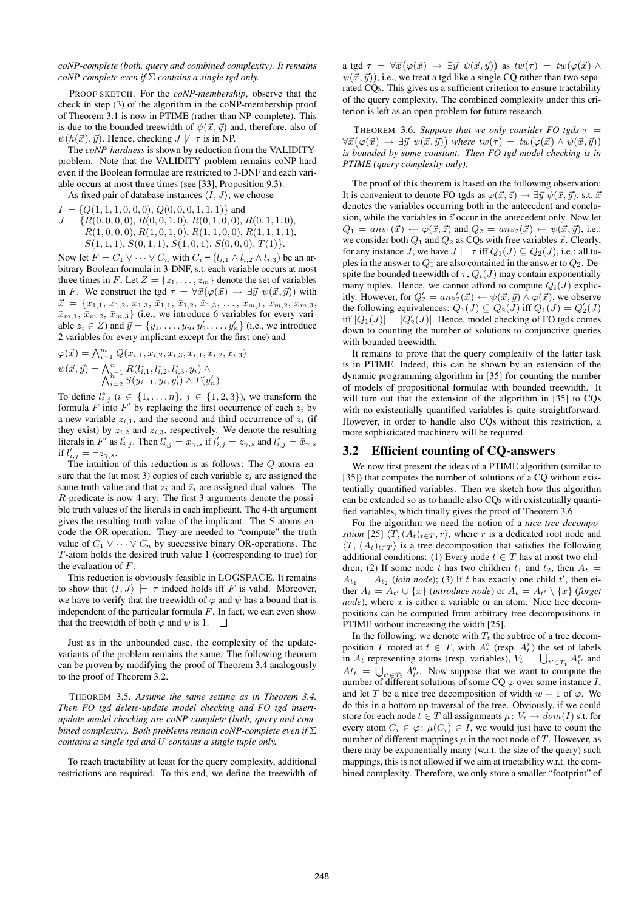*coNP-complete (both, query and combined complexity). It remains coNP-complete even if* Σ *contains a single tgd only.*

PROOF SKETCH. For the *coNP-membership*, observe that the check in step (3) of the algorithm in the coNP-membership proof of Theorem 3.1 is now in PTIME (rather than NP-complete). This is due to the bounded treewidth of  $\psi(\vec{x}, \vec{y})$  and, therefore, also of  $\psi(h(\vec{x}), \vec{y})$ . Hence, checking  $J \not\models \tau$  is in NP.

The *coNP-hardness* is shown by reduction from the VALIDITYproblem. Note that the VALIDITY problem remains coNP-hard even if the Boolean formulae are restricted to 3-DNF and each variable occurs at most three times (see [33], Proposition 9.3).

As fixed pair of database instances  $\langle I, J \rangle$ , we choose

- $I = \{Q(1, 1, 1, 0, 0, 0), Q(0, 0, 0, 1, 1, 1)\}\$ and
- $J = \{R(0, 0, 0, 0), R(0, 0, 1, 0), R(0, 1, 0, 0), R(0, 1, 1, 0),\}$  $R(1, 0, 0, 0), R(1, 0, 1, 0), R(1, 1, 0, 0), R(1, 1, 1, 1),$  $S(1, 1, 1), S(0, 1, 1), S(1, 0, 1), S(0, 0, 0), T(1)$ .

Now let  $F = C_1 \vee \cdots \vee C_n$  with  $C_i = (l_{i,1} \wedge l_{i,2} \wedge l_{i,3})$  be an arbitrary Boolean formula in 3-DNF, s.t. each variable occurs at most three times in F. Let  $Z = \{z_1, \ldots, z_m\}$  denote the set of variables in F. We construct the tgd  $\tau = \forall \vec{x}(\varphi(\vec{x}) \rightarrow \exists \vec{y} \ \psi(\vec{x}, \vec{y}))$  with  $\vec{x} = \{x_{1,1}, x_{1,2}, x_{1,3}, \bar{x}_{1,1}, \bar{x}_{1,2}, \bar{x}_{1,3}, \ldots, x_{m,1}, x_{m,2}, x_{m,3}, \}$  $\bar{x}_{m,1}, \bar{x}_{m,2}, \bar{x}_{m,3}$  (i.e., we introduce 6 variables for every variable  $z_i \in Z$ ) and  $\vec{y} = \{y_1, \ldots, y_n, y_2', \ldots, y_n'\}$  (i.e., we introduce 2 variables for every implicant except for the first one) and

$$
\varphi(\vec{x}) = \bigwedge_{i=1}^{m} Q(x_{i,1}, x_{i,2}, x_{i,3}, \bar{x}_{i,1}, \bar{x}_{i,2}, \bar{x}_{i,3})
$$
  

$$
\psi(\vec{x}, \vec{y}) = \bigwedge_{i=1}^{n} R(l_{i,1}^*, l_{i,2}^*, l_{i,3}^*, y_i) \wedge
$$
  

$$
\bigwedge_{i=2}^{n} S(y_{i-1}, y_i, y_i') \wedge T(y_n')
$$

To define  $l_{i,j}^*(i \in \{1, ..., n\}, j \in \{1, 2, 3\})$ , we transform the formula F into  $F'$  by replacing the first occurrence of each  $z_i$  by a new variable  $z_{i,1}$ , and the second and third occurrence of  $z_i$  (if they exist) by  $z_{i,2}$  and  $z_{i,3}$ , respectively. We denote the resulting literals in  $F'$  as  $l'_{i,j}$ . Then  $l^*_{i,j} = x_{\gamma,s}$  if  $l'_{i,j} = z_{\gamma,s}$  and  $l^*_{i,j} = \bar{x}_{\gamma,s}$ if  $l'_{i,j} = \neg z_{\gamma,s}$ .

The intuition of this reduction is as follows: The Q-atoms ensure that the (at most 3) copies of each variable  $z_i$  are assigned the same truth value and that  $z_i$  and  $\overline{z}_i$  are assigned dual values. The R-predicate is now 4-ary: The first 3 arguments denote the possible truth values of the literals in each implicant. The 4-th argument gives the resulting truth value of the implicant. The S-atoms encode the OR-operation. They are needed to "compute" the truth value of  $C_1 \vee \cdots \vee C_n$  by successive binary OR-operations. The T-atom holds the desired truth value 1 (corresponding to true) for the evaluation of F.

This reduction is obviously feasible in LOGSPACE. It remains to show that  $\langle I, J \rangle \models \tau$  indeed holds iff F is valid. Moreover, we have to verify that the treewidth of  $\varphi$  and  $\psi$  has a bound that is independent of the particular formula  $F$ . In fact, we can even show that the treewidth of both  $\varphi$  and  $\psi$  is 1.  $\Box$ 

Just as in the unbounded case, the complexity of the updatevariants of the problem remains the same. The following theorem can be proven by modifying the proof of Theorem 3.4 analogously to the proof of Theorem 3.2.

THEOREM 3.5. *Assume the same setting as in Theorem 3.4. Then FO tgd delete-update model checking and FO tgd insertupdate model checking are coNP-complete (both, query and combined complexity). Both problems remain coNP-complete even if* Σ *contains a single tgd and* U *contains a single tuple only.*

To reach tractability at least for the query complexity, additional restrictions are required. To this end, we define the treewidth of

a tgd  $\tau = \forall \vec{x} (\varphi(\vec{x}) \rightarrow \exists \vec{y} \; \psi(\vec{x}, \vec{y}))$  as  $tw(\tau) = tw(\varphi(\vec{x}) \land$  $\psi(\vec{x}, \vec{y})$ ), i.e., we treat a tgd like a single CQ rather than two separated CQs. This gives us a sufficient criterion to ensure tractability of the query complexity. The combined complexity under this criterion is left as an open problem for future research.

THEOREM 3.6. *Suppose that we only consider FO tgds*  $\tau$  =  $\forall \vec{x} (\varphi(\vec{x}) \rightarrow \exists \vec{y} \ \psi(\vec{x}, \vec{y}))$  where  $tw(\tau) = tw(\varphi(\vec{x}) \wedge \psi(\vec{x}, \vec{y}))$ *is bounded by some constant. Then FO tgd model checking is in PTIME (query complexity only).*

The proof of this theorem is based on the following observation: It is convenient to denote FO-tgds as  $\varphi(\vec{x}, \vec{z}) \rightarrow \exists \vec{y} \ \psi(\vec{x}, \vec{y})$ , s.t.  $\vec{x}$ denotes the variables occurring both in the antecedent and conclusion, while the variables in  $\vec{z}$  occur in the antecedent only. Now let  $Q_1 = ans_1(\vec{x}) \leftarrow \varphi(\vec{x}, \vec{z})$  and  $Q_2 = ans_2(\vec{x}) \leftarrow \psi(\vec{x}, \vec{y})$ , i.e.: we consider both  $Q_1$  and  $Q_2$  as CQs with free variables  $\vec{x}$ . Clearly, for any instance J, we have  $J \models \tau$  iff  $Q_1(J) \subseteq Q_2(J)$ , i.e.: all tuples in the answer to  $Q_1$  are also contained in the answer to  $Q_2$ . Despite the bounded treewidth of  $\tau$ ,  $Q_i(J)$  may contain exponentially many tuples. Hence, we cannot afford to compute  $Q_i(J)$  explicitly. However, for  $Q'_2 = ans'_2(\vec{x}) \leftarrow \psi(\vec{x}, \vec{y}) \wedge \varphi(\vec{x})$ , we observe the following equivalences:  $Q_1(J) \subseteq Q_2(J)$  iff  $Q_1(J) = Q'_2(J)$ iff  $|Q_1(J)| = |Q'_2(J)|$ . Hence, model checking of FO tgds comes down to counting the number of solutions to conjunctive queries with bounded treewidth.

It remains to prove that the query complexity of the latter task is in PTIME. Indeed, this can be shown by an extension of the dynamic programming algorithm in [35] for counting the number of models of propositional formulae with bounded treewidth. It will turn out that the extension of the algorithm in [35] to COs with no existentially quantified variables is quite straightforward. However, in order to handle also CQs without this restriction, a more sophisticated machinery will be required.

### 3.2 Efficient counting of CQ-answers

We now first present the ideas of a PTIME algorithm (similar to [35]) that computes the number of solutions of a CQ without existentially quantified variables. Then we sketch how this algorithm can be extended so as to handle also CQs with existentially quantified variables, which finally gives the proof of Theorem 3.6

For the algorithm we need the notion of a *nice tree decomposition* [25]  $\langle T, (A_t)_{t \in T}, r \rangle$ , where r is a dedicated root node and  $\langle T, (A_t)_{t\in T} \rangle$  is a tree decomposition that satisfies the following additional conditions: (1) Every node  $t \in T$  has at most two children; (2) If some node t has two children  $t_1$  and  $t_2$ , then  $A_t$  $A_{t_1} = A_{t_2}$  (*join node*); (3) If t has exactly one child t', then either  $A_t = A_{t'} \cup \{x\}$  (*introduce node*) or  $A_t = A_{t'} \setminus \{x\}$  (forget  $node$ ), where  $x$  is either a variable or an atom. Nice tree decompositions can be computed from arbitrary tree decompositions in PTIME without increasing the width [25].

In the following, we denote with  $T_t$  the subtree of a tree decomposition T rooted at  $t \in T$ , with  $A_t^a$  (resp.  $A_t^v$ ) the set of labels in  $A_t$  representing atoms (resp. variables),  $V_t = \bigcup_{t' \in T_t} A_{t'}^v$  and  $At_t = \bigcup_{t' \in T_t} A_{t'}^a$ . Now suppose that we want to compute the number of different solutions of some CQ  $\varphi$  over some instance I, and let T be a nice tree decomposition of width  $w - 1$  of  $\varphi$ . We do this in a bottom up traversal of the tree. Obviously, if we could store for each node  $t \in T$  all assignments  $\mu: V_t \to dom(I)$  s.t. for every atom  $C_i \in \varphi$ :  $\mu(C_i) \in I$ , we would just have to count the number of different mappings  $\mu$  in the root node of  $T$ . However, as there may be exponentially many (w.r.t. the size of the query) such mappings, this is not allowed if we aim at tractability w.r.t. the combined complexity. Therefore, we only store a smaller "footprint" of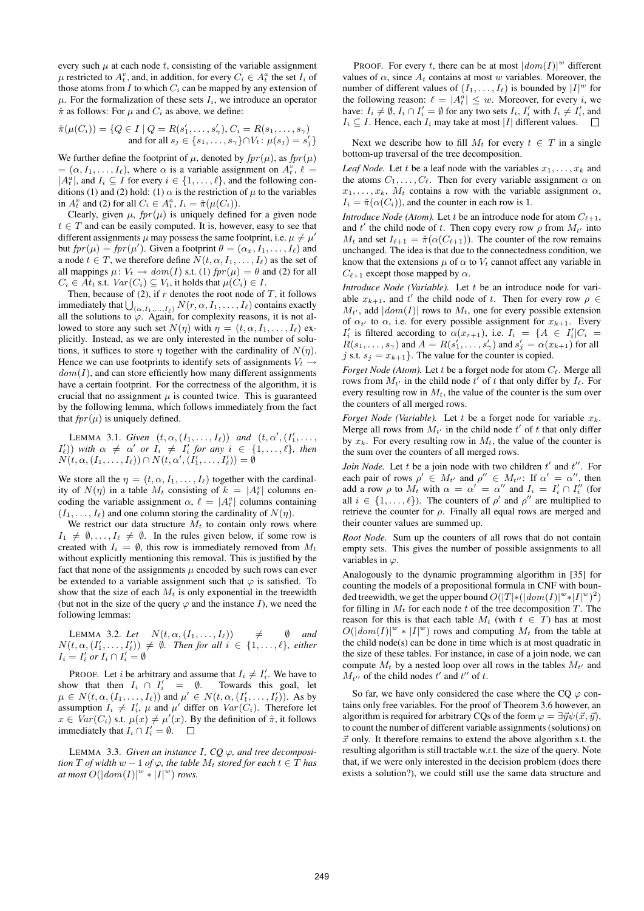every such  $\mu$  at each node t, consisting of the variable assignment  $\mu$  restricted to  $A_t^v$ , and, in addition, for every  $C_i \in A_t^a$  the set  $I_i$  of those atoms from  $I$  to which  $C_i$  can be mapped by any extension of  $\mu$ . For the formalization of these sets  $I_i$ , we introduce an operator  $\hat{\pi}$  as follows: For  $\mu$  and  $C_i$  as above, we define:

$$
\hat{\pi}(\mu(C_i)) = \{ Q \in I \mid Q = R(s'_1, \dots, s'_\gamma), C_i = R(s_1, \dots, s_\gamma) \n\text{and for all } s_j \in \{ s_1, \dots, s_\gamma \} \cap V_t : \mu(s_j) = s'_j \}
$$

We further define the footprint of  $\mu$ , denoted by  $fpr(\mu)$ , as  $fpr(\mu)$  $=(\alpha, I_1, \ldots, I_\ell)$ , where  $\alpha$  is a variable assignment on  $A_t^v$ ,  $\ell =$  $|A_t^a|$ , and  $I_i \subseteq I$  for every  $i \in \{1, \ldots, \ell\}$ , and the following conditions (1) and (2) hold: (1)  $\alpha$  is the restriction of  $\mu$  to the variables in  $A_t^v$  and (2) for all  $C_i \in A_t^a$ ,  $I_i = \hat{\pi}(\mu(C_i)).$ 

Clearly, given  $\mu$ ,  $fpr(\mu)$  is uniquely defined for a given node  $t \in T$  and can be easily computed. It is, however, easy to see that different assignments  $\mu$  may possess the same footprint, i.e.  $\mu \neq \mu'$ but  $fpr(\mu) = fpr(\mu')$ . Given a footprint  $\theta = (\alpha_x, I_1, \dots, I_\ell)$  and a node  $t \in T$ , we therefore define  $N(t, \alpha, I_1, \dots, I_\ell)$  as the set of all mappings  $\mu: V_t \to dom(I)$  s.t. (1)  $fpr(\mu) = \theta$  and (2) for all  $C_i \in At_t$  s.t.  $Var(C_i) \subseteq V_t$ , it holds that  $\mu(C_i) \in I$ .

Then, because of (2), if r denotes the root node of  $T$ , it follows immediately that  $\bigcup_{(\alpha, I_1, ..., I_\ell)} N(r, \alpha, I_1, ..., I_\ell)$  contains exactly all the solutions to  $\varphi$ . Again, for complexity reasons, it is not allowed to store any such set  $N(\eta)$  with  $\eta = (t, \alpha, I_1, \dots, I_\ell)$  explicitly. Instead, as we are only interested in the number of solutions, it suffices to store  $\eta$  together with the cardinality of  $N(\eta)$ . Hence we can use footprints to identify sets of assignments  $V_t \rightarrow$  $dom(I)$ , and can store efficiently how many different assignments have a certain footprint. For the correctness of the algorithm, it is crucial that no assignment  $\mu$  is counted twice. This is guaranteed by the following lemma, which follows immediately from the fact that  $fpr(\mu)$  is uniquely defined.

LEMMA 3.1. *Given*  $(t, \alpha, (I_1, \ldots, I_\ell))$  *and*  $(t, \alpha', (I'_1, \ldots, I'_\ell))$  $I'_{\ell}$ )) with  $\alpha \neq \alpha'$  or  $I_i \neq I'_i$  for any  $i \in \{1, ..., \ell\}$ , then  $N(t, \alpha, (I_1, \ldots, I_\ell)) \cap N(t, \alpha', (I'_1, \ldots, I'_\ell)) = \emptyset$ 

We store all the  $\eta = (t, \alpha, I_1, \dots, I_\ell)$  together with the cardinality of  $N(\eta)$  in a table  $M_t$  consisting of  $k = |A_t^v|$  columns encoding the variable assignment  $\alpha$ ,  $\ell = |A_t^a|$  columns containing  $(I_1, \ldots, I_\ell)$  and one column storing the cardinality of  $N(\eta)$ .

We restrict our data structure  $M_t$  to contain only rows where  $I_1 \neq \emptyset, \ldots, I_\ell \neq \emptyset$ . In the rules given below, if some row is created with  $I_i = \emptyset$ , this row is immediately removed from  $M_t$ without explicitly mentioning this removal. This is justified by the fact that none of the assignments  $\mu$  encoded by such rows can ever be extended to a variable assignment such that  $\varphi$  is satisfied. To show that the size of each  $M_t$  is only exponential in the treewidth (but not in the size of the query  $\varphi$  and the instance I), we need the following lemmas:

LEMMA 3.2. Let  $N(t, \alpha, (I_1, \ldots, I_\ell)) \neq \emptyset$  and  $N(t, \alpha, (I'_1, \ldots, I'_\ell)) \neq \emptyset$ . Then for all  $i \in \{1, \ldots, \ell\}$ , either  $I_i = I'_i$  or  $I_i \cap I'_i = \emptyset$ 

PROOF. Let *i* be arbitrary and assume that  $I_i \neq I'_i$ . We have to show that then  $I_i \cap I'_i = \emptyset$ . Towards this goal, let  $\mu \in N(t, \alpha, (I_1, \ldots, I_\ell))$  and  $\mu' \in N(t, \alpha, (I'_1, \ldots, I'_\ell))$ . As by assumption  $I_i \neq I'_i$ ,  $\mu$  and  $\mu'$  differ on  $Var(C_i)$ . Therefore let  $x \in Var(C_i)$  s.t.  $\mu(x) \neq \mu'(x)$ . By the definition of  $\hat{\pi}$ , it follows immediately that  $I_i \cap I'_i = \emptyset$ .

LEMMA 3.3. *Given an instance I, CQ*  $\varphi$ *, and tree decomposition*  $T$  *of width*  $w - 1$  *of*  $\varphi$ *, the table*  $M_t$  *stored for each*  $t \in T$  *has at most*  $O(|dom(I)|^w * |I|^w)$  *rows.* 

PROOF. For every t, there can be at most  $|dom(I)|^w$  different values of  $\alpha$ , since  $A_t$  contains at most w variables. Moreover, the number of different values of  $(I_1, \ldots, I_\ell)$  is bounded by  $|I|^w$  for the following reason:  $\ell = |A_t^a| \leq w$ . Moreover, for every i, we have:  $I_i \neq \emptyset$ ,  $I_i \cap I'_i = \emptyset$  for any two sets  $I_i$ ,  $I'_i$  with  $I_i \neq I'_i$ , and  $I_i \subseteq I$ . Hence, each  $I_i$  may take at most |I| different values.  $\Box$ 

Next we describe how to fill  $M_t$  for every  $t \in T$  in a single bottom-up traversal of the tree decomposition.

*Leaf Node.* Let t be a leaf node with the variables  $x_1, \ldots, x_k$  and the atoms  $C_1, \ldots, C_\ell$ . Then for every variable assignment  $\alpha$  on  $x_1, \ldots, x_k$ ,  $M_t$  contains a row with the variable assignment  $\alpha$ ,  $I_i = \hat{\pi}(\alpha(C_i))$ , and the counter in each row is 1.

*Introduce Node (Atom).* Let t be an introduce node for atom  $C_{\ell+1}$ , and t' the child node of t. Then copy every row  $\rho$  from  $M_{t'}$  into  $M_t$  and set  $I_{\ell+1} = \hat{\pi}(\alpha(C_{\ell+1}))$ . The counter of the row remains unchanged. The idea is that due to the connectedness condition, we know that the extensions  $\mu$  of  $\alpha$  to  $V_t$  cannot affect any variable in  $C_{\ell+1}$  except those mapped by  $\alpha$ .

*Introduce Node (Variable)*. Let t be an introduce node for variable  $x_{k+1}$ , and t' the child node of t. Then for every row  $\rho \in$  $M_{t'}$ , add  $|dom(I)|$  rows to  $M_t$ , one for every possible extension of  $\alpha_{t'}$  to  $\alpha$ , i.e. for every possible assignment for  $x_{k+1}$ . Every  $I'_i$  is filtered according to  $\alpha(x_{r+1})$ , i.e.  $I_i = \{A \in I'_i | C_i =$  $R(s_1, \ldots, s_\gamma)$  and  $A = R(s'_1, \ldots, s'_\gamma)$  and  $s'_j = \alpha(x_{k+1})$  for all j s.t.  $s_j = x_{k+1}$ . The value for the counter is copied.

*Forget Node (Atom).* Let t be a forget node for atom  $C_\ell$ . Merge all rows from  $M_{t'}$  in the child node  $t'$  of t that only differ by  $I_{\ell}$ . For every resulting row in  $M_t$ , the value of the counter is the sum over the counters of all merged rows.

*Forget Node (Variable).* Let t be a forget node for variable  $x_k$ . Merge all rows from  $M_{t'}$  in the child node  $t'$  of t that only differ by  $x_k$ . For every resulting row in  $M_t$ , the value of the counter is the sum over the counters of all merged rows.

*Join Node*. Let  $t$  be a join node with two children  $t'$  and  $t''$ . For each pair of rows  $\rho' \in M_{t'}$  and  $\rho'' \in M_{t''}$ : If  $\alpha' = \alpha''$ , then add a row  $\rho$  to  $M_t$  with  $\alpha = \alpha' = \alpha''$  and  $I_i = I'_i \cap I''_i$  (for all  $i \in \{1, \ldots, \ell\}$ ). The counters of  $\rho'$  and  $\rho''$  are multiplied to retrieve the counter for  $\rho$ . Finally all equal rows are merged and their counter values are summed up.

*Root Node.* Sum up the counters of all rows that do not contain empty sets. This gives the number of possible assignments to all variables in  $\varphi$ .

Analogously to the dynamic programming algorithm in [35] for counting the models of a propositional formula in CNF with bounded treewidth, we get the upper bound  $O(|T| * (|\text{dom}(I)|^w * |I|^w)^2)$ for filling in  $M_t$  for each node t of the tree decomposition T. The reason for this is that each table  $M_t$  (with  $t \in T$ ) has at most  $O(|dom(I)|^w * |I|^w)$  rows and computing  $M_t$  from the table at the child node(s) can be done in time which is at most quadratic in the size of these tables. For instance, in case of a join node, we can compute  $M_t$  by a nested loop over all rows in the tables  $M_{t'}$  and  $M_{t}$  of the child nodes t' and t'' of t.

So far, we have only considered the case where the CQ  $\varphi$  contains only free variables. For the proof of Theorem 3.6 however, an algorithm is required for arbitrary CQs of the form  $\varphi = \exists \vec{y} \psi(\vec{x}, \vec{y})$ , to count the number of different variable assignments (solutions) on  $\vec{x}$  only. It therefore remains to extend the above algorithm s.t. the resulting algorithm is still tractable w.r.t. the size of the query. Note that, if we were only interested in the decision problem (does there exists a solution?), we could still use the same data structure and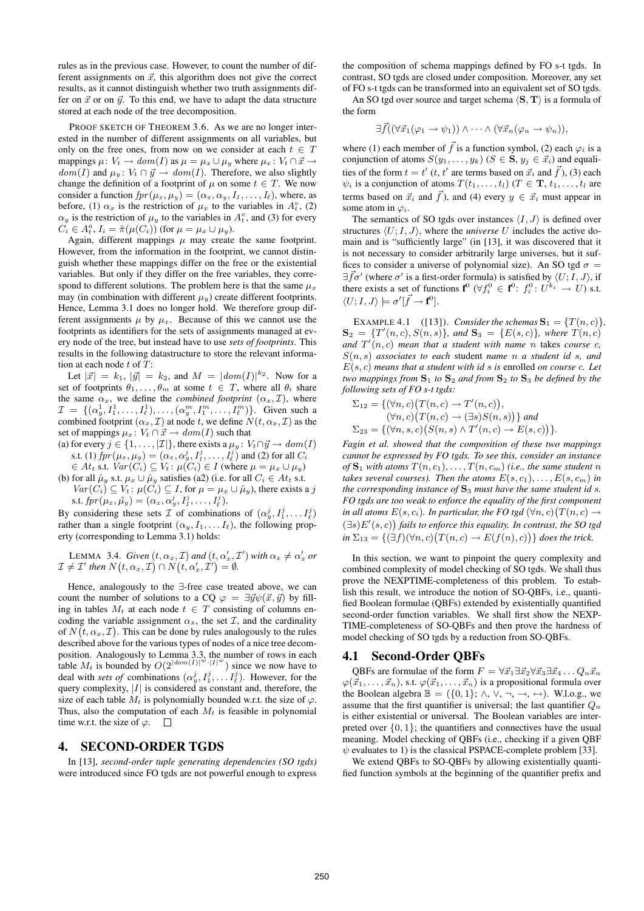rules as in the previous case. However, to count the number of different assignments on  $\vec{x}$ , this algorithm does not give the correct results, as it cannot distinguish whether two truth assignments differ on  $\vec{x}$  or on  $\vec{y}$ . To this end, we have to adapt the data structure stored at each node of the tree decomposition.

PROOF SKETCH OF THEOREM 3.6. As we are no longer interested in the number of different assignments on all variables, but only on the free ones, from now on we consider at each  $t \in T$ mappings  $\mu: V_t \to dom(I)$  as  $\mu = \mu_x \cup \mu_y$  where  $\mu_x: V_t \cap \vec{x} \to$  $dom(I)$  and  $\mu_y: V_t \cap \vec{y} \to dom(I)$ . Therefore, we also slightly change the definition of a footprint of  $\mu$  on some  $t \in T$ . We now consider a function  $fpr(\mu_x, \mu_y) = (\alpha_x, \alpha_y, I_1, \dots, I_\ell)$ , where, as before, (1)  $\alpha_x$  is the restriction of  $\mu_x$  to the variables in  $A_t^v$ , (2)  $\alpha_y$  is the restriction of  $\mu_y$  to the variables in  $A_t^v$ , and (3) for every  $\tilde{C}_i \in A_t^a$ ,  $I_i = \hat{\pi}(\mu(C_i))$  (for  $\mu = \mu_x \cup \mu_y$ ).

Again, different mappings  $\mu$  may create the same footprint. However, from the information in the footprint, we cannot distinguish whether these mappings differ on the free or the existential variables. But only if they differ on the free variables, they correspond to different solutions. The problem here is that the same  $\mu_x$ may (in combination with different  $\mu_y$ ) create different footprints. Hence, Lemma 3.1 does no longer hold. We therefore group different assignments  $\mu$  by  $\mu_x$ . Because of this we cannot use the footprints as identifiers for the sets of assignments managed at every node of the tree, but instead have to use *sets of footprints*. This results in the following datastructure to store the relevant information at each node  $t$  of  $T$ :

Let  $|\vec{x}| = k_1, |\vec{y}| = k_2$ , and  $M = |dom(I)|^{k_2}$ . Now for a set of footprints  $\theta_1, \ldots, \theta_m$  at some  $t \in T$ , where all  $\theta_i$  share the same  $\alpha_x$ , we define the *combined footprint*  $(\alpha_x, \mathcal{I})$ , where  $\mathcal{I} = \{(\alpha_y^1, I_1^1, \ldots, I_\ell^1), \ldots, (\alpha_y^m, I_1^m, \ldots, I_\ell^m)\}\.$  Given such a combined footprint  $(\alpha_x, \mathcal{I})$  at node t, we define  $N(t, \alpha_x, \mathcal{I})$  as the set of mappings  $\mu_x: V_t \cap \vec{x} \to dom(I)$  such that

(a) for every  $j \in \{1, \ldots, |\mathcal{I}|\}$ , there exists a  $\mu_y : V_t \cap \vec{y} \to dom(I)$ s.t. (1)  $fpr(\mu_x, \mu_y) = (\alpha_x, \alpha_y^j, I_1^j, \dots, I_\ell^j)$  and (2) for all  $C_i$  $\in At_t$  s.t.  $Var(C_i) \subseteq V_t$ :  $\mu(C_i) \in I$  (where  $\mu = \mu_x \cup \mu_y$ ) (b) for all  $\hat{\mu}_y$  s.t.  $\mu_x \cup \hat{\mu}_y$  satisfies (a2) (i.e. for all  $C_i \in At_t$  s.t.

 $Var(C_i) \subseteq V_t$ :  $\mu(C_i) \subseteq I$ , for  $\mu = \mu_x \cup \hat{\mu}_y$ ), there exists a j s.t.  $fpr(\mu_x, \hat{\mu}_y) = (\alpha_x, \alpha_y^j, I_1^j, \dots, I_\ell^j).$ 

By considering these sets  $\mathcal I$  of combinations of  $(\alpha_y^j, I_1^j, \dots I_\ell^j)$ rather than a single footprint  $(\alpha_v, I_1, \ldots, I_\ell)$ , the following property (corresponding to Lemma 3.1) holds:

LEMMA 3.4. *Given*  $(t, \alpha_x, \mathcal{I})$  *and*  $(t, \alpha'_x, \mathcal{I}')$  *with*  $\alpha_x \neq \alpha'_x$  *or*  $\mathcal{I} \neq \mathcal{I}'$  then  $N(t, \alpha_x, \mathcal{I}) \cap N(t, \alpha'_x, \mathcal{I}') = \emptyset$ .

Hence, analogously to the ∃-free case treated above, we can count the number of solutions to a CQ  $\varphi = \exists \vec{y} \psi(\vec{x}, \vec{y})$  by filling in tables  $M_t$  at each node  $t \in T$  consisting of columns encoding the variable assignment  $\alpha_x$ , the set  $\mathcal{I}$ , and the cardinality of  $N(t, \alpha_x, \mathcal{I})$ . This can be done by rules analogously to the rules described above for the various types of nodes of a nice tree decomposition. Analogously to Lemma 3.3, the number of rows in each table  $M_t$  is bounded by  $O(2^{|dom(I)|^w \cdot |I|^w})$  since we now have to deal with *sets of* combinations  $(\alpha_y^j, I_1^j, \ldots, I_\ell^j)$ . However, for the query complexity,  $|I|$  is considered as constant and, therefore, the size of each table  $M_t$  is polynomially bounded w.r.t. the size of  $\varphi$ . Thus, also the computation of each  $M_t$  is feasible in polynomial time w.r.t. the size of  $\varphi$ .  $\square$ 

#### 4. SECOND-ORDER TGDS

In [13], *second-order tuple generating dependencies (SO tgds)* were introduced since FO tgds are not powerful enough to express the composition of schema mappings defined by FO s-t tgds. In contrast, SO tgds are closed under composition. Moreover, any set of FO s-t tgds can be transformed into an equivalent set of SO tgds.

An SO tgd over source and target schema  $\langle S, T \rangle$  is a formula of the form

$$
\exists \vec{f}((\forall \vec{x}_1(\varphi_1 \rightarrow \psi_1)) \land \cdots \land (\forall \vec{x}_n(\varphi_n \rightarrow \psi_n)),
$$

where (1) each member of  $\vec{f}$  is a function symbol, (2) each  $\varphi_i$  is a conjunction of atoms  $S(y_1, \ldots, y_k)$  ( $S \in \mathbf{S}, y_j \in \mathcal{X}_i$ ) and equalities of the form  $t = t'$  (*t*, *t'* are terms based on  $\vec{x}_i$  and  $\vec{f}$ ), (3) each  $\psi_i$  is a conjunction of atoms  $T(t_1, \ldots, t_l)$  ( $T \in \mathbf{T}, t_1, \ldots, t_l$  are terms based on  $\vec{x}_i$  and  $\vec{f}$ ), and (4) every  $y \in \vec{x}_i$  must appear in some atom in  $\varphi_i$ .

The semantics of SO tgds over instances  $\langle I, J \rangle$  is defined over structures  $\langle U; I, J \rangle$ , where the *universe* U includes the active domain and is "sufficiently large" (in [13], it was discovered that it is not necessary to consider arbitrarily large universes, but it suffices to consider a universe of polynomial size). An SO tgd  $\sigma =$  $\exists \vec{f}\sigma'$  (where  $\sigma'$  is a first-order formula) is satisfied by  $\langle U; I, J \rangle$ , if there exists a set of functions  $\mathbf{f}^0$  ( $\forall f_i^0 \in \mathbf{f}^0$ :  $f_i^0$ :  $U^{k_i} \to U$ ) s.t.  $\langle U; I, J \rangle \models \sigma'[\vec{f} \rightarrow \mathbf{f}^0].$ 

EXAMPLE 4.1 ([13]). *Consider the schemas*  $S_1 = \{T(n, c)\},$  $S_2 = \{T'(n, c), S(n, s)\}\$ , and  $S_3 = \{E(s, c)\}\$ , where  $T(n, c)$ and  $T'(n, c)$  *mean that a student with name n* takes *course c*, S(n, s) *associates to each* student *name* n *a student id* s*, and* E(s, c) *means that a student with id* s *is* enrolled *on course* c*. Let two mappings from*  $S_1$  *to*  $S_2$  *and from*  $S_2$  *to*  $S_3$  *be defined by the following sets of FO s-t tgds:*

$$
\Sigma_{12} = \{ (\forall n, c) (T(n, c) \rightarrow T'(n, c)),
$$
  
\n
$$
(\forall n, c) (T(n, c) \rightarrow (\exists s) S(n, s)) \} \text{ and}
$$
  
\n
$$
\Sigma_{23} = \{ (\forall n, s, c) (S(n, s) \land T'(n, c) \rightarrow E(s, c)) \}.
$$

*Fagin et al. showed that the composition of these two mappings cannot be expressed by FO tgds. To see this, consider an instance*  $of$ **S**<sub>1</sub> *with atoms*  $T(n, c_1), \ldots, T(n, c_m)$  *(i.e., the same student n takes several courses). Then the atoms*  $E(s, c_1), \ldots, E(s, c_m)$  *in the corresponding instance of*  $S_3$  *must have the same student id s. FO tgds are too weak to enforce the equality of the first component* in all atoms  $E(s, c_i)$ . In particular, the FO tgd  $(\forall n, c)$   $(T(n, c) \rightarrow$  $(\exists s) E'(s, c)$  fails to enforce this equality. In contrast, the SO tgd  $\mathcal{L}_{13} = \{(\exists f)(\forall n, c)(T(n, c) \rightarrow E(f(n), c))\}$  does the trick.

In this section, we want to pinpoint the query complexity and combined complexity of model checking of SO tgds. We shall thus prove the NEXPTIME-completeness of this problem. To establish this result, we introduce the notion of SO-QBFs, i.e., quantified Boolean formulae (QBFs) extended by existentially quantified second-order function variables. We shall first show the NEXP-TIME-completeness of SO-QBFs and then prove the hardness of model checking of SO tgds by a reduction from SO-QBFs.

# 4.1 Second-Order QBFs

OBFs are formulae of the form  $F = \forall \vec{x}_1 \exists \vec{x}_2 \forall \vec{x}_3 \exists \vec{x}_4 \dots Q_n \vec{x}_n$  $\varphi(\vec{x}_1, \ldots, \vec{x}_n)$ , s.t.  $\varphi(\vec{x}_1, \ldots, \vec{x}_n)$  is a propositional formula over the Boolean algebra  $\mathbb{B} = (\{0, 1\}; \wedge, \vee, \neg, \rightarrow, \leftrightarrow)$ . W.l.o.g., we assume that the first quantifier is universal; the last quantifier  $Q_n$ is either existential or universal. The Boolean variables are interpreted over  $\{0, 1\}$ ; the quantifiers and connectives have the usual meaning. Model checking of QBFs (i.e., checking if a given QBF  $\psi$  evaluates to 1) is the classical PSPACE-complete problem [33].

We extend QBFs to SO-QBFs by allowing existentially quantified function symbols at the beginning of the quantifier prefix and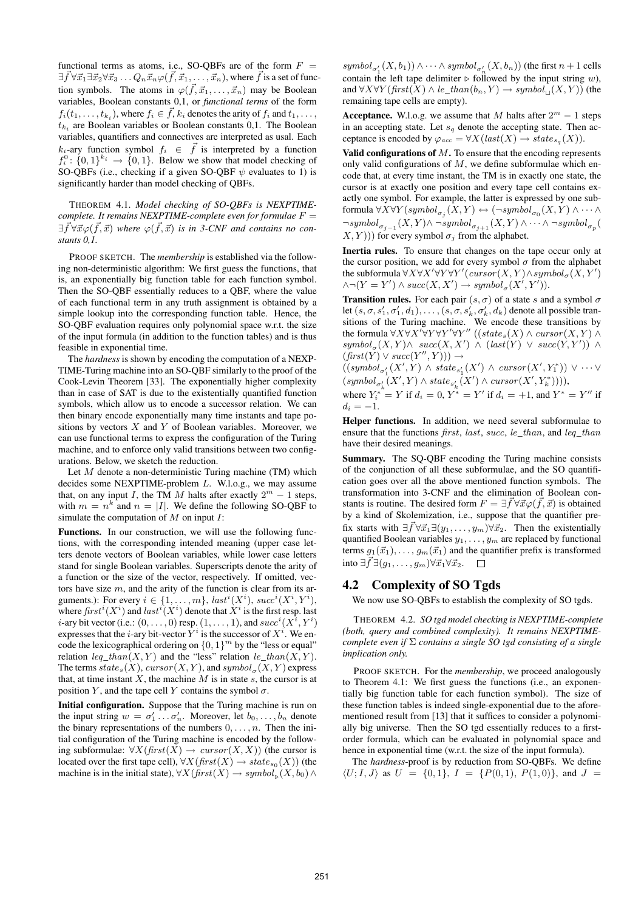functional terms as atoms, i.e., SO-QBFs are of the form  $F =$  $\exists \vec{f} \forall \vec{x}_1 \exists \vec{x}_2 \forall \vec{x}_3 \ldots Q_n \vec{x}_n \varphi(\vec{f}, \vec{x}_1, \ldots, \vec{x}_n),$  where  $\vec{f}$  is a set of function symbols. The atoms in  $\varphi(\vec{f}, \vec{x}_1, \dots, \vec{x}_n)$  may be Boolean variables, Boolean constants 0,1, or *functional terms* of the form  $f_i(t_1,\ldots,t_{k_i})$ , where  $f_i \in \vec{f}, k_i$  denotes the arity of  $f_i$  and  $t_1,\ldots,t_i$  $t_{k_i}$  are Boolean variables or Boolean constants 0,1. The Boolean variables, quantifiers and connectives are interpreted as usal. Each  $k_i$ -ary function symbol  $f_i \in \vec{f}$  is interpreted by a function  $f_i^0$ :  $\{0,1\}$ <sup>k<sub>i</sub></sup>  $\rightarrow$   $\{0,1\}$ . Below we show that model checking of SO-QBFs (i.e., checking if a given SO-QBF  $\psi$  evaluates to 1) is significantly harder than model checking of QBFs.

THEOREM 4.1. *Model checking of SO-QBFs is NEXPTIMEcomplete. It remains NEXPTIME-complete even for formulae* F =  $\exists \vec{f} \forall \vec{x} \varphi(\vec{f}, \vec{x})$  where  $\varphi(\vec{f}, \vec{x})$  is in 3-CNF and contains no con*stants 0,1.*

PROOF SKETCH. The *membership* is established via the following non-deterministic algorithm: We first guess the functions, that is, an exponentially big function table for each function symbol. Then the SO-QBF essentially reduces to a QBF, where the value of each functional term in any truth assignment is obtained by a simple lookup into the corresponding function table. Hence, the SO-QBF evaluation requires only polynomial space w.r.t. the size of the input formula (in addition to the function tables) and is thus feasible in exponential time.

The *hardness* is shown by encoding the computation of a NEXP-TIME-Turing machine into an SO-QBF similarly to the proof of the Cook-Levin Theorem [33]. The exponentially higher complexity than in case of SAT is due to the existentially quantified function symbols, which allow us to encode a successor relation. We can then binary encode exponentially many time instants and tape positions by vectors  $X$  and  $Y$  of Boolean variables. Moreover, we can use functional terms to express the configuration of the Turing machine, and to enforce only valid transitions between two configurations. Below, we sketch the reduction.

Let M denote a non-deterministic Turing machine (TM) which decides some NEXPTIME-problem L. W.l.o.g., we may assume that, on any input I, the TM M halts after exactly  $2^m - 1$  steps, with  $m = n^k$  and  $n = |I|$ . We define the following SO-QBF to simulate the computation of  $M$  on input  $I$ :

Functions. In our construction, we will use the following functions, with the corresponding intended meaning (upper case letters denote vectors of Boolean variables, while lower case letters stand for single Boolean variables. Superscripts denote the arity of a function or the size of the vector, respectively. If omitted, vectors have size  $m$ , and the arity of the function is clear from its arguments.): For every  $i \in \{1, \ldots, m\}$ ,  $last^i(X^i)$ ,  $succ^i(X^i, Y^i)$ , where  $first^{i}(X^{i})$  and  $last^{i}(X^{i})$  denote that  $X^{i}$  is the first resp. last *i*-ary bit vector (i.e.:  $(0, \ldots, 0)$  resp.  $(1, \ldots, 1)$ , and  $succ^i(X^i, Y^i)$ expresses that the *i*-ary bit-vector  $Y^i$  is the successor of  $X^i$ . We encode the lexicographical ordering on  $\{0, 1\}^m$  by the "less or equal" relation leq\_than(X, Y) and the "less" relation le\_than(X, Y). The terms  $state_s(X)$ ,  $cursor(X, Y)$ , and  $symbol_{\sigma}(X, Y)$  express that, at time instant  $X$ , the machine  $M$  is in state  $s$ , the cursor is at position Y, and the tape cell Y contains the symbol  $\sigma$ .

Initial configuration. Suppose that the Turing machine is run on the input string  $w = \sigma'_1 \dots \sigma'_n$ . Moreover, let  $b_0, \dots, b_n$  denote the binary representations of the numbers  $0, \ldots, n$ . Then the initial configuration of the Turing machine is encoded by the following subformulae:  $\forall X \left( \text{first}(X) \rightarrow \text{cursor}(X, X) \right)$  (the cursor is located over the first tape cell),  $\forall X \text{ (first } (X) \rightarrow state_{s_0}(X))$  (the machine is in the initial state),  $\forall X \text{(first}(X) \rightarrow symbol_{\triangleright}(X, b_0) \land$ 

 $symbol_{\sigma'_1}(X, b_1)) \wedge \cdots \wedge symbol_{\sigma'_n}(X, b_n))$  (the first  $n+1$  cells contain the left tape delimiter  $\triangleright$  followed by the input string w), and  $\forall X \forall Y \left( \text{first}(X) \land \text{le\_than}(b_n, Y) \rightarrow \text{symbol}_{\sqcup}(X, Y) \right)$  (the remaining tape cells are empty).

**Acceptance.** W.l.o.g. we assume that M halts after  $2^m - 1$  steps in an accepting state. Let  $s_q$  denote the accepting state. Then acceptance is encoded by  $\varphi_{acc} = \forall X (last(X) \rightarrow state_{sq}(X)).$ 

Valid configurations of  $M$ . To ensure that the encoding represents only valid configurations of  $M$ , we define subformulae which encode that, at every time instant, the TM is in exactly one state, the cursor is at exactly one position and every tape cell contains exactly one symbol. For example, the latter is expressed by one subformula  $\forall X \forall Y (symbol_{\sigma_j}(X, Y) \leftrightarrow (\neg symbol_{\sigma_0}(X, Y) \wedge \cdots \wedge$  $\neg symbol_{\sigma_{j-1}}(X,Y) \wedge \neg symbol_{\sigma_{j+1}}(X,Y) \wedge \cdots \wedge \neg symbol_{\sigma_p}(X,Y)$  $(X, Y)$ )) for every symbol  $\sigma_i$  from the alphabet.

Inertia rules. To ensure that changes on the tape occur only at the cursor position, we add for every symbol  $\sigma$  from the alphabet the subformula  $\forall X \forall X' \forall Y \forall Y' (curs or(X, Y) \land symbol_{\sigma}(X, Y'))$  $\wedge \neg(Y = Y') \wedge succ(X, X') \rightarrow symbol_{\sigma}(X', Y')).$ 

**Transition rules.** For each pair  $(s, \sigma)$  of a state s and a symbol  $\sigma$ let  $(s, \sigma, s_1', \sigma_1', d_1), \ldots, (s, \sigma, s_k', \sigma_k', d_k)$  denote all possible transitions of the Turing machine. We encode these transitions by the formula  $\forall X \forall X' \forall Y \forall Y''$  ((states(X)  $\land$  cursor(X, Y)  $\land$  $\mathit{symbol}_{\sigma}(X,Y) \wedge \ \mathit{succ}(X,X') \ \wedge \ (\mathit{last}(Y) \ \vee \ \mathit{succ}(Y,Y')) \ \wedge$  $(first(Y) \vee succ(Y'', Y))) \rightarrow$ 

 $((symbol_{\sigma'_1}(X', Y) \land state_{s'_1}(X') \land cursor(X', Y_1^*)) \lor \cdots \lor$  $(\mathop{symbol}\limits_{\sigma'_{k}}(X', Y) \wedge \mathop{state}\limits_{s'_{k}}(X') \wedge \mathop{cursor}\limits(X', Y^{*}_{k}))))$ 

where  $Y_i^* = Y$  if  $d_i = 0$ ,  $Y^* = Y'$  if  $d_i = +1$ , and  $Y^* = Y''$  if  $d_i = -1$ .

Helper functions. In addition, we need several subformulae to ensure that the functions first, last, succ, le\_than, and leq\_than have their desired meanings.

Summary. The SQ-QBF encoding the Turing machine consists of the conjunction of all these subformulae, and the SO quantification goes over all the above mentioned function symbols. The transformation into 3-CNF and the elimination of Boolean constants is routine. The desired form  $F = \exists \vec{f} \forall \vec{x} \varphi(\vec{f}, \vec{x})$  is obtained by a kind of Skolemization, i.e., suppose that the quantifier prefix starts with  $\exists \vec{f} \forall \vec{x}_1 \exists (y_1, \ldots, y_m) \forall \vec{x}_2$ . Then the existentially quantified Boolean variables  $y_1, \ldots, y_m$  are replaced by functional terms  $g_1(\vec{x}_1), \ldots, g_m(\vec{x}_1)$  and the quantifier prefix is transformed into  $\exists \vec{f} \exists (q_1, \ldots, q_m) \forall \vec{x}_1 \forall \vec{x}_2$ .  $\Box$ 

# 4.2 Complexity of SO Tgds

We now use SO-OBFs to establish the complexity of SO tgds.

THEOREM 4.2. *SO tgd model checking is NEXPTIME-complete (both, query and combined complexity). It remains NEXPTIMEcomplete even if* Σ *contains a single SO tgd consisting of a single implication only.*

PROOF SKETCH. For the *membership*, we proceed analogously to Theorem 4.1: We first guess the functions (i.e., an exponentially big function table for each function symbol). The size of these function tables is indeed single-exponential due to the aforementioned result from [13] that it suffices to consider a polynomially big universe. Then the SO tgd essentially reduces to a firstorder formula, which can be evaluated in polynomial space and hence in exponential time (w.r.t. the size of the input formula).

The *hardness*-proof is by reduction from SO-QBFs. We define  $\langle U; I, J \rangle$  as  $U = \{0, 1\}, I = \{P(0, 1), P(1, 0)\},$  and  $J =$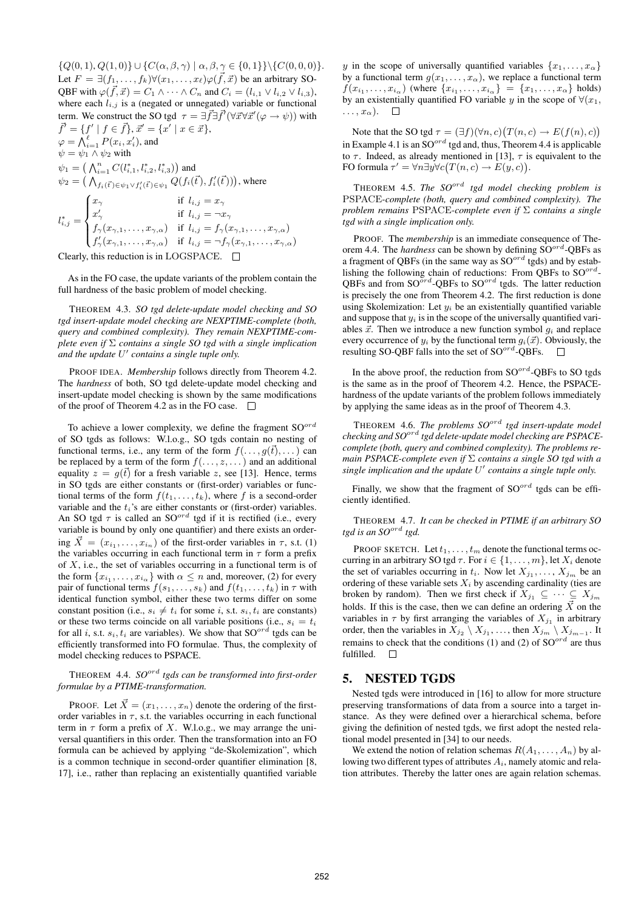$\{Q(0, 1), Q(1, 0)\} \cup \{C(\alpha, \beta, \gamma) \mid \alpha, \beta, \gamma \in \{0, 1\}\}\$ Let  $F = \exists (f_1, \ldots, f_k) \forall (x_1, \ldots, x_\ell) \varphi(\vec{f}, \vec{x})$  be an arbitrary SO-QBF with  $\varphi(\vec{f}, \vec{x}) = C_1 \wedge \cdots \wedge C_n$  and  $C_i = (l_{i,1} \vee l_{i,2} \vee l_{i,3}),$ where each  $l_{i,j}$  is a (negated or unnegated) variable or functional term. We construct the SO tgd  $\tau = \exists \vec{f} \exists \vec{f}' (\forall \vec{x} \forall \vec{x}' (\varphi \to \psi))$  with  $\vec{f}' = \{f' \mid f \in \vec{f}\}, \vec{x}' = \{x' \mid x \in \vec{x}\},\$  $\varphi = \bigwedge_{i=1}^{\ell} P(x_i, x'_i)$ , and  $\psi=\psi_1\wedge\psi_2$  with  $\psi_1 = \left(\bigwedge_{i=1}^n C(l_{i,1}^*, l_{i,2}^*, l_{i,3}^*)\right)$  and  $\psi_2 = \big(\bigwedge_{f_i(\vec{t}\,)\in \psi_1\vee f'_i(\vec{t}\,)\in \psi_1} Q(f_i(\vec{t}\,), f'_i(\vec{t}\,))\big)$ , where  $l_{i,j}^* =$  $\sqrt{2}$  $\int$  $x_{\gamma}$  if  $l_{i,j} = x_{\gamma}$  $x'_{\gamma}$  if  $l_{i,j} = \neg x_{\gamma}$  $f_{\gamma}(x_{\gamma,1},\ldots,x_{\gamma,\alpha})$  if  $l_{i,j}=f_{\gamma}(x_{\gamma,1},\ldots,x_{\gamma,\alpha})$ 

 $\downarrow$  $f'_{\gamma}(x_{\gamma,1},\ldots,x_{\gamma,\alpha})$  if  $l_{i,j} = \neg f_{\gamma}(x_{\gamma,1},\ldots,x_{\gamma,\alpha})$ 

Clearly, this reduction is in LOGSPACE.  $\Box$ 

As in the FO case, the update variants of the problem contain the full hardness of the basic problem of model checking.

THEOREM 4.3. *SO tgd delete-update model checking and SO tgd insert-update model checking are NEXPTIME-complete (both, query and combined complexity). They remain NEXPTIME-complete even if* Σ *contains a single SO tgd with a single implication and the update* U 0 *contains a single tuple only.*

PROOF IDEA. *Membership* follows directly from Theorem 4.2. The *hardness* of both, SO tgd delete-update model checking and insert-update model checking is shown by the same modifications of the proof of Theorem 4.2 as in the FO case.  $\Box$ 

To achieve a lower complexity, we define the fragment  $SO^{ord}$ of SO tgds as follows: W.l.o.g., SO tgds contain no nesting of functional terms, i.e., any term of the form  $f(\ldots, g(\vec{t}), \ldots)$  can be replaced by a term of the form  $f(\ldots, z, \ldots)$  and an additional equality  $z = g(\vec{t})$  for a fresh variable z, see [13]. Hence, terms in SO tgds are either constants or (first-order) variables or functional terms of the form  $f(t_1, \ldots, t_k)$ , where f is a second-order variable and the  $t_i$ 's are either constants or (first-order) variables. An SO tgd  $\tau$  is called an SO<sup>ord</sup> tgd if it is rectified (i.e., every variable is bound by only one quantifier) and there exists an ordering  $\vec{X} = (x_{i_1}, \dots, x_{i_n})$  of the first-order variables in  $\tau$ , s.t. (1) the variables occurring in each functional term in  $\tau$  form a prefix of  $X$ , i.e., the set of variables occurring in a functional term is of the form  $\{x_{i_1}, \ldots, x_{i_\alpha}\}$  with  $\alpha \leq n$  and, moreover, (2) for every pair of functional terms  $f(s_1, \ldots, s_k)$  and  $f(t_1, \ldots, t_k)$  in  $\tau$  with identical function symbol, either these two terms differ on some constant position (i.e.,  $s_i \neq t_i$  for some i, s.t.  $s_i, t_i$  are constants) or these two terms coincide on all variable positions (i.e.,  $s_i = t_i$ ) for all i, s.t.  $s_i, t_i$  are variables). We show that  $SO^{ord}$  tgds can be efficiently transformed into FO formulae. Thus, the complexity of model checking reduces to PSPACE.

#### THEOREM 4.4. *SO*ord *tgds can be transformed into first-order formulae by a PTIME-transformation.*

PROOF. Let  $\vec{X} = (x_1, \ldots, x_n)$  denote the ordering of the firstorder variables in  $\tau$ , s.t. the variables occurring in each functional term in  $\tau$  form a prefix of X. W.l.o.g., we may arrange the universal quantifiers in this order. Then the transformation into an FO formula can be achieved by applying "de-Skolemization", which is a common technique in second-order quantifier elimination [8, 17], i.e., rather than replacing an existentially quantified variable

y in the scope of universally quantified variables  $\{x_1, \ldots, x_\alpha\}$ by a functional term  $g(x_1, \ldots, x_\alpha)$ , we replace a functional term  $f(x_{i_1},\ldots,x_{i_\alpha})$  (where  $\{x_{i_1},\ldots,x_{i_\alpha}\} = \{x_1,\ldots,x_\alpha\}$  holds) by an existentially quantified FO variable y in the scope of  $\forall$ (x<sub>1</sub>,  $\ldots, x_{\alpha}$ ).  $\Box$ 

Note that the SO tgd  $\tau = (\exists f)(\forall n, c) (T(n, c) \rightarrow E(f(n), c))$ in Example 4.1 is an  $SO^{ord}$  tgd and, thus, Theorem 4.4 is applicable to  $\tau$ . Indeed, as already mentioned in [13],  $\tau$  is equivalent to the FO formula  $\tau' = \forall n \exists y \forall c (T(n,c) \rightarrow E(y,c)).$ 

THEOREM 4.5. *The SO*ord *tgd model checking problem is* PSPACE*-complete (both, query and combined complexity). The problem remains* PSPACE*-complete even if* Σ *contains a single tgd with a single implication only.*

PROOF. The *membership* is an immediate consequence of Theorem 4.4. The *hardness* can be shown by defining SO<sup>ord</sup>-QBFs as a fragment of QBFs (in the same way as  $SO^{ord}$  tgds) and by establishing the following chain of reductions: From QBFs to  $SO^{ord}$ -QBFs and from  $SO^{ord}$ -QBFs to  $SO^{ord}$  tgds. The latter reduction is precisely the one from Theorem 4.2. The first reduction is done using Skolemization: Let  $y_i$  be an existentially quantified variable and suppose that  $y_i$  is in the scope of the universally quantified variables  $\vec{x}$ . Then we introduce a new function symbol  $g_i$  and replace every occurrence of  $y_i$  by the functional term  $g_i(\vec{x})$ . Obviously, the resulting SO-QBF falls into the set of  $SO<sup>ord</sup>$ -QBFs.

In the above proof, the reduction from  $SO^{ord}$ -QBFs to SO tgds is the same as in the proof of Theorem 4.2. Hence, the PSPACEhardness of the update variants of the problem follows immediately by applying the same ideas as in the proof of Theorem 4.3.

THEOREM 4.6. *The problems SO*ord *tgd insert-update model checking and SO*ord *tgd delete-update model checking are PSPACEcomplete (both, query and combined complexity). The problems remain PSPACE-complete even if* Σ *contains a single SO tgd with a single implication and the update* U 0 *contains a single tuple only.*

Finally, we show that the fragment of  $SO^{ord}$  tgds can be efficiently identified.

THEOREM 4.7. *It can be checked in PTIME if an arbitrary SO tgd is an SO*ord *tgd.*

PROOF SKETCH. Let  $t_1, \ldots, t_m$  denote the functional terms occurring in an arbitrary SO tgd  $\tau$ . For  $i \in \{1, \ldots, m\}$ , let  $X_i$  denote the set of variables occurring in  $t_i$ . Now let  $X_{j_1}, \ldots, X_{j_m}$  be an ordering of these variable sets  $X_i$  by ascending cardinality (ties are broken by random). Then we first check if  $X_{j_1} \subseteq \cdots \subseteq X_{j_m}$ holds. If this is the case, then we can define an ordering  $\vec{X}$  on the variables in  $\tau$  by first arranging the variables of  $X_{j_1}$  in arbitrary order, then the variables in  $X_{j_2} \setminus X_{j_1}, \ldots$ , then  $X_{j_m} \setminus X_{j_{m-1}}$ . It remains to check that the conditions (1) and (2) of  $SO^{ord}$  are thus fulfilled.  $\square$ 

# 5. NESTED TGDS

Nested tgds were introduced in [16] to allow for more structure preserving transformations of data from a source into a target instance. As they were defined over a hierarchical schema, before giving the definition of nested tgds, we first adopt the nested relational model presented in [34] to our needs.

We extend the notion of relation schemas  $R(A_1, \ldots, A_n)$  by allowing two different types of attributes  $A_i$ , namely atomic and relation attributes. Thereby the latter ones are again relation schemas.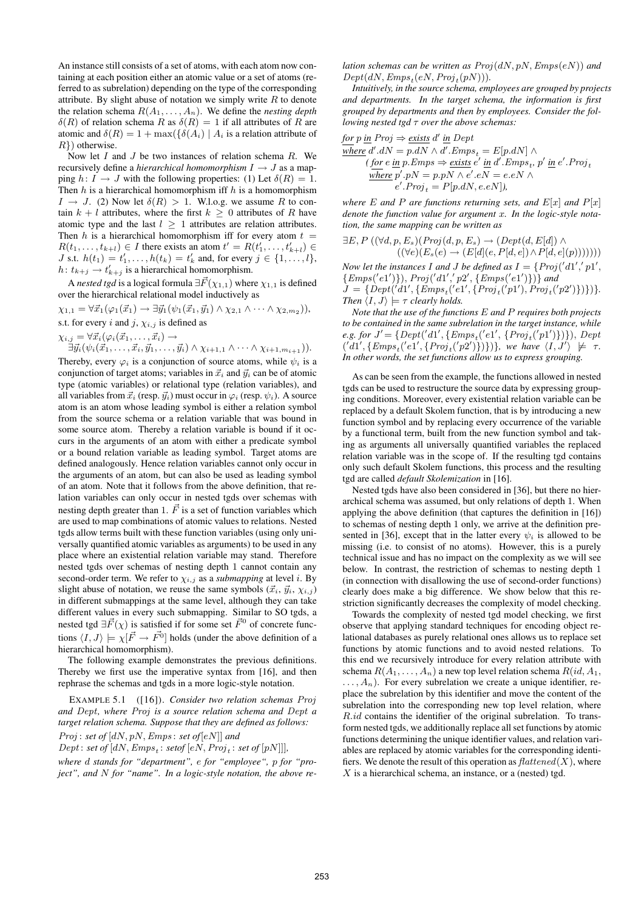An instance still consists of a set of atoms, with each atom now containing at each position either an atomic value or a set of atoms (referred to as subrelation) depending on the type of the corresponding attribute. By slight abuse of notation we simply write  $R$  to denote the relation schema  $R(A_1, \ldots, A_n)$ . We define the *nesting depth*  $\delta(R)$  of relation schema R as  $\delta(R) = 1$  if all attributes of R are atomic and  $\delta(R) = 1 + \max(\{\delta(A_i) \mid A_i \text{ is a relation attribute of }\}$  $R$ }) otherwise.

Now let  $I$  and  $J$  be two instances of relation schema  $R$ . We recursively define a *hierarchical homomorphism*  $I \rightarrow J$  as a mapping  $h: I \to J$  with the following properties: (1) Let  $\delta(R) = 1$ . Then  $h$  is a hierarchical homomorphism iff  $h$  is a homomorphism  $I \rightarrow J$ . (2) Now let  $\delta(R) > 1$ . W.l.o.g. we assume R to contain  $k + l$  attributes, where the first  $k > 0$  attributes of R have atomic type and the last  $l > 1$  attributes are relation attributes. Then h is a hierarchical homomorphism iff for every atom  $t =$  $R(t_1,\ldots,t_{k+l}) \in I$  there exists an atom  $t' = R(t'_1,\ldots,t'_{k+l}) \in$ *J* s.t.  $h(t_1) = t'_1, ..., h(t_k) = t'_k$  and, for every  $j \in \{1, ..., l\}$ ,  $h: t_{k+j} \rightarrow t'_{k+j}$  is a hierarchical homomorphism.

A *nested tgd* is a logical formula  $\exists \vec{F}(\chi_{1,1})$  where  $\chi_{1,1}$  is defined over the hierarchical relational model inductively as

 $\chi_{1,1} = \forall \vec{x}_1(\varphi_1(\vec{x}_1) \rightarrow \exists \vec{y}_1(\psi_1(\vec{x}_1, \vec{y}_1) \wedge \chi_{2,1} \wedge \cdots \wedge \chi_{2,m_2})),$ s.t. for every i and j,  $\chi_{i,j}$  is defined as  $\chi_{i,j} = \forall \vec{x}_i(\varphi_i(\vec{x}_1, \dots, \vec{x}_i) \rightarrow$  $\exists \vec{y}_i(\psi_i(\vec{x}_1,\ldots,\vec{x}_i,\vec{y}_1,\ldots,\vec{y}_i) \wedge \chi_{i+1,1} \wedge \cdots \wedge \chi_{i+1,m_{i+1}})).$ 

Thereby, every  $\varphi_i$  is a conjunction of source atoms, while  $\psi_i$  is a conjunction of target atoms; variables in  $\vec{x}_i$  and  $\vec{y}_i$  can be of atomic type (atomic variables) or relational type (relation variables), and all variables from  $\vec{x}_i$  (resp.  $\vec{y}_i$ ) must occur in  $\varphi_i$  (resp.  $\psi_i$ ). A source atom is an atom whose leading symbol is either a relation symbol from the source schema or a relation variable that was bound in some source atom. Thereby a relation variable is bound if it occurs in the arguments of an atom with either a predicate symbol or a bound relation variable as leading symbol. Target atoms are defined analogously. Hence relation variables cannot only occur in the arguments of an atom, but can also be used as leading symbol of an atom. Note that it follows from the above definition, that relation variables can only occur in nested tgds over schemas with nesting depth greater than 1.  $\vec{F}$  is a set of function variables which are used to map combinations of atomic values to relations. Nested tgds allow terms built with these function variables (using only universally quantified atomic variables as arguments) to be used in any place where an existential relation variable may stand. Therefore nested tgds over schemas of nesting depth 1 cannot contain any second-order term. We refer to  $\chi_{i,j}$  as a *submapping* at level *i*. By slight abuse of notation, we reuse the same symbols  $(\vec{x}_i, \vec{y}_i, \chi_{i,j})$ in different submappings at the same level, although they can take different values in every such submapping. Similar to SO tgds, a nested tgd  $\exists \vec{F}(\chi)$  is satisfied if for some set  $\vec{F}^0$  of concrete functions  $\langle I, J \rangle \models \chi[\vec{F} \rightarrow \vec{F}^0]$  holds (under the above definition of a hierarchical homomorphism).

The following example demonstrates the previous definitions. Thereby we first use the imperative syntax from [16], and then rephrase the schemas and tgds in a more logic-style notation.

EXAMPLE 5.1 ([16]). *Consider two relation schemas* Proj *and* Dept*, where* Proj *is a source relation schema and* Dept *a target relation schema. Suppose that they are defined as follows:* Proj : *set of* [dN, pN, Emps : *set of*[eN]] *and*

 $Depth:$  set of  $[dN, Emps_t: setof [eN, Proj_t: set of [pN]]],$ 

*where* d *stands for "department",* e *for "employee",* p *for "project", and* N *for "name". In a logic-style notation, the above re-* *lation schemas can be written as* Proj(dN, pN, Emps(eN)) *and*  $Depth(dN, Emps<sub>t</sub>(eN, Proj<sub>t</sub>(pN))).$ 

*Intuitively, in the source schema, employees are grouped by projects and departments. In the target schema, the information is first grouped by departments and then by employees. Consider the following nested tgd* τ *over the above schemas:*

for p in Proj 
$$
\Rightarrow
$$
 exists d' in Dept  
\nwhere d'.dN = p.dN  $\wedge$  d'.Emps<sub>t</sub> = E[p.dN]  $\wedge$   
\n(for e in p. Emps  $\Rightarrow$  exists e' in d'. Emps<sub>t</sub>, p' in e'.Proj<sub>t</sub>  
\nwhere p'.pN = p.pN  $\wedge$  e'.eN = e.eN  $\wedge$   
\ne'.Proj<sub>t</sub> = P[p.dN, e.eN]),

*where E* and *P* are functions returning sets, and  $E[x]$  and  $P[x]$ *denote the function value for argument* x*. In the logic-style notation, the same mapping can be written as*

$$
\exists E, P \left( (\forall d, p, E_s)(Proj(d, p, E_s) \rightarrow (Depth(d, E[d]) \land ((\forall e)(E_s(e) \rightarrow (E[d](e, P[d, e]) \land P[d, e](p)))) \right))
$$

*Now let the instances I and J be defined as*  $I = \{Proj('d1','p1',')\}$  ${Emps('e1')}, Proj('d1','p2', {Emps('e1')})$  and  $J = \{Def('di', \{Emps_t('el', \{Proj_t('pl'), Proj_t('p2')\})\})\}.$ *Then*  $\langle I, J \rangle \models \tau$  *clearly holds.* 

*Note that the use of the functions* E *and* P *requires both projects to be contained in the same subrelation in the target instance, while e.g. for*  $J' = \{Depth('d1', \{Emps_t('e1', \{Proj_t('p1')\})\}),$  Dept  $('d1', \{Emps_t('e1', \{Proj_t('p2')\})})$ *}, we have*  $\langle I, J' \rangle \not\models \tau$ *. In other words, the set functions allow us to express grouping.*

As can be seen from the example, the functions allowed in nested tgds can be used to restructure the source data by expressing grouping conditions. Moreover, every existential relation variable can be replaced by a default Skolem function, that is by introducing a new function symbol and by replacing every occurrence of the variable by a functional term, built from the new function symbol and taking as arguments all universally quantified variables the replaced relation variable was in the scope of. If the resulting tgd contains only such default Skolem functions, this process and the resulting tgd are called *default Skolemization* in [16].

Nested tgds have also been considered in [36], but there no hierarchical schema was assumed, but only relations of depth 1. When applying the above definition (that captures the definition in [16]) to schemas of nesting depth 1 only, we arrive at the definition presented in [36], except that in the latter every  $\psi_i$  is allowed to be missing (i.e. to consist of no atoms). However, this is a purely technical issue and has no impact on the complexity as we will see below. In contrast, the restriction of schemas to nesting depth 1 (in connection with disallowing the use of second-order functions) clearly does make a big difference. We show below that this restriction significantly decreases the complexity of model checking.

Towards the complexity of nested tgd model checking, we first observe that applying standard techniques for encoding object relational databases as purely relational ones allows us to replace set functions by atomic functions and to avoid nested relations. To this end we recursively introduce for every relation attribute with schema  $R(A_1, \ldots, A_n)$  a new top level relation schema  $R(id, A_1, A_2)$  $\ldots$ ,  $A_n$ ). For every subrelation we create a unique identifier, replace the subrelation by this identifier and move the content of the subrelation into the corresponding new top level relation, where R.id contains the identifier of the original subrelation. To transform nested tgds, we additionally replace all set functions by atomic functions determining the unique identifier values, and relation variables are replaced by atomic variables for the corresponding identifiers. We denote the result of this operation as  $flattened(X)$ , where  $X$  is a hierarchical schema, an instance, or a (nested) tgd.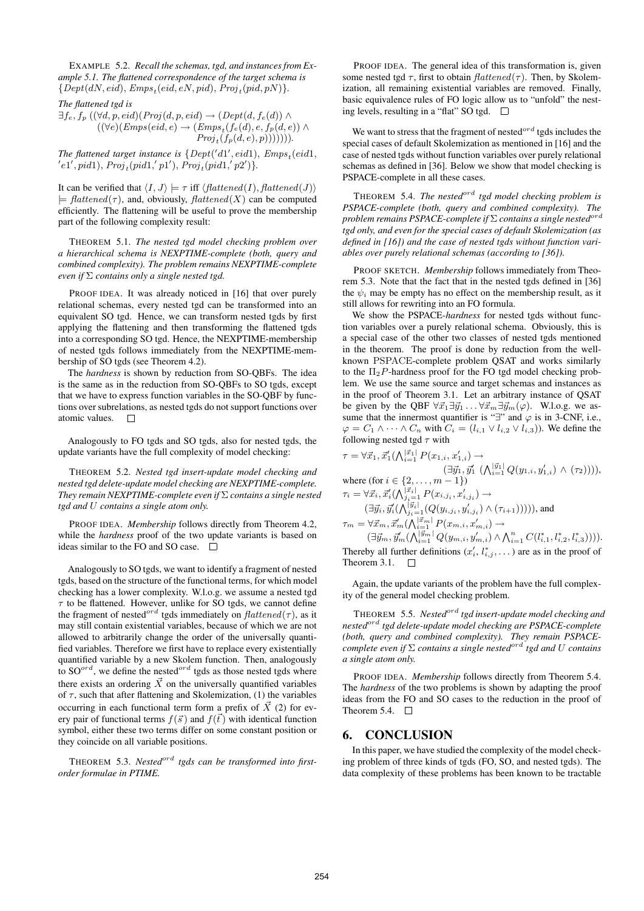EXAMPLE 5.2. *Recall the schemas, tgd, and instances from Example 5.1. The flattened correspondence of the target schema is*  $\{Depth(dN,eid), Emps<sub>t</sub>(eid, eN, pid), Proj<sub>t</sub>(pid, pN)\}.$ 

*The flattened tgd is*

 $\exists f_e, f_p \left( (\forall d, p, ed)(Proj(d, p, ed) \rightarrow (Depth(d, f_e(d)) \wedge$  $((\forall e)(Emps(eid, e) \rightarrow (Emps_t(f_e(d), e, f_p(d, e)) \land$  $Proj_t(f_p(d, e), p))))$ .

The flattened target instance is  $\{Depth('d1',eid1),$   $Emps_t(eid1,$  $\left( \left[ P_{i}(pid1),\left[ Proj_{t}(pid1,'p1'),\left[ Proj_{t}(pid1,'p2')\right] \right] \right)$ 

It can be verified that  $\langle I, J \rangle \models \tau$  iff  $\langle \text{flattened}(I), \text{flattened}(J) \rangle$  $\models$  flattened( $\tau$ ), and, obviously, flattened(X) can be computed efficiently. The flattening will be useful to prove the membership part of the following complexity result:

THEOREM 5.1. *The nested tgd model checking problem over a hierarchical schema is NEXPTIME-complete (both, query and combined complexity). The problem remains NEXPTIME-complete even if* Σ *contains only a single nested tgd.*

PROOF IDEA. It was already noticed in [16] that over purely relational schemas, every nested tgd can be transformed into an equivalent SO tgd. Hence, we can transform nested tgds by first applying the flattening and then transforming the flattened tgds into a corresponding SO tgd. Hence, the NEXPTIME-membership of nested tgds follows immediately from the NEXPTIME-membership of SO tgds (see Theorem 4.2).

The *hardness* is shown by reduction from SO-QBFs. The idea is the same as in the reduction from SO-QBFs to SO tgds, except that we have to express function variables in the SO-QBF by functions over subrelations, as nested tgds do not support functions over atomic values.  $\Box$ 

Analogously to FO tgds and SO tgds, also for nested tgds, the update variants have the full complexity of model checking:

THEOREM 5.2. *Nested tgd insert-update model checking and nested tgd delete-update model checking are NEXPTIME-complete. They remain NEXPTIME-complete even if* Σ *contains a single nested tgd and* U *contains a single atom only.*

PROOF IDEA. *Membership* follows directly from Theorem 4.2, while the *hardness* proof of the two update variants is based on ideas similar to the FO and SO case.

Analogously to SO tgds, we want to identify a fragment of nested tgds, based on the structure of the functional terms, for which model checking has a lower complexity. W.l.o.g. we assume a nested tgd  $\tau$  to be flattened. However, unlike for SO tgds, we cannot define the fragment of nested<sup>ord</sup> tgds immediately on  $flattened(\tau)$ , as it may still contain existential variables, because of which we are not allowed to arbitrarily change the order of the universally quantified variables. Therefore we first have to replace every existentially quantified variable by a new Skolem function. Then, analogously to  $SO^{ord}$ , we define the nested<sup>ord</sup> tgds as those nested tgds where there exists an ordering  $\vec{X}$  on the universally quantified variables of  $\tau$ , such that after flattening and Skolemization, (1) the variables occurring in each functional term form a prefix of  $\vec{X}$  (2) for every pair of functional terms  $f(\vec{s})$  and  $f(\vec{t})$  with identical function symbol, either these two terms differ on some constant position or they coincide on all variable positions.

THEOREM 5.3. *Nested*ord *tgds can be transformed into firstorder formulae in PTIME.*

PROOF IDEA. The general idea of this transformation is, given some nested tgd  $\tau$ , first to obtain  $flattened(\tau)$ . Then, by Skolemization, all remaining existential variables are removed. Finally, basic equivalence rules of FO logic allow us to "unfold" the nesting levels, resulting in a "flat" SO tgd.  $\Box$ 

We want to stress that the fragment of nested  $^{ord}$  tgds includes the special cases of default Skolemization as mentioned in [16] and the case of nested tgds without function variables over purely relational schemas as defined in [36]. Below we show that model checking is PSPACE-complete in all these cases.

THEOREM 5.4. *The nested*ord *tgd model checking problem is PSPACE-complete (both, query and combined complexity). The problem remains PSPACE-complete if* Σ *contains a single nested*<sup>ord</sup> *tgd only, and even for the special cases of default Skolemization (as defined in [16]) and the case of nested tgds without function variables over purely relational schemas (according to [36]).*

PROOF SKETCH. *Membership* follows immediately from Theorem 5.3. Note that the fact that in the nested tgds defined in [36] the  $\psi_i$  may be empty has no effect on the membership result, as it still allows for rewriting into an FO formula.

We show the PSPACE-*hardness* for nested tgds without function variables over a purely relational schema. Obviously, this is a special case of the other two classes of nested tgds mentioned in the theorem. The proof is done by reduction from the wellknown PSPACE-complete problem QSAT and works similarly to the  $\Pi_2P$ -hardness proof for the FO tgd model checking problem. We use the same source and target schemas and instances as in the proof of Theorem 3.1. Let an arbitrary instance of QSAT be given by the QBF  $\forall \vec{x}_1 \exists \vec{y}_1 \dots \forall \vec{x}_m \exists \vec{y}_m(\varphi)$ . W.l.o.g. we assume that the innermost quantifier is "∃" and  $\varphi$  is in 3-CNF, i.e.,  $\varphi = C_1 \wedge \cdots \wedge C_n$  with  $C_i = (l_{i,1} \vee l_{i,2} \vee l_{i,3})$ ). We define the following nested tgd  $\tau$  with

$$
\tau = \forall \vec{x}_1, \vec{x}'_1 (\bigwedge_{i=1}^{|\vec{x}_1|} P(x_{1,i}, x'_{1,i}) \rightarrow
$$
  
\n
$$
(\exists \vec{y}_1, \vec{y}'_1 \ (\bigwedge_{i=1}^{|\vec{y}_1|} Q(y_{1,i}, y'_{1,i}) \ \wedge \ (\tau_2))))
$$
,  
\nwhere (for  $i \in \{2, ..., m - 1\}$ )  
\n
$$
\tau_i = \forall \vec{x}_i, \vec{x}'_i (\bigwedge_{j_i=1}^{|\vec{x}_i|} P(x_{i,j_i}, x'_{i,j_i}) \rightarrow
$$
  
\n
$$
(\exists \vec{y}_i, \vec{y}'_i (\bigwedge_{j_i=1}^{|\vec{y}_i|} [Q(y_{i,j_i}, y'_{i,j_i}) \ \wedge (\tau_{i+1})))))
$$
, and  
\n
$$
\tau_m = \forall \vec{x}_m, \vec{x}'_m (\bigwedge_{i=1}^{|\vec{x}_m|} P(x_{m,i}, x'_{m,i}) \rightarrow
$$
  
\n
$$
(\exists \vec{y}_m, \vec{y}'_m (\bigwedge_{i=1}^{|\vec{y}_m|} Q(y_{m,i}, y'_{m,i}) \ \wedge \bigwedge_{i=1}^n C(l_{i,1}^*, l_{i,2}^*, l_{i,3}^*))))
$$
.

Thereby all further definitions  $(x'_i, l^*_{i,j}, \dots)$  are as in the proof of Theorem 3.1.  $\square$ 

Again, the update variants of the problem have the full complexity of the general model checking problem.

THEOREM 5.5. *Nested*ord *tgd insert-update model checking and nested*ord *tgd delete-update model checking are PSPACE-complete (both, query and combined complexity). They remain PSPACEcomplete even if* Σ *contains a single nested*ord *tgd and* U *contains a single atom only.*

PROOF IDEA. *Membership* follows directly from Theorem 5.4. The *hardness* of the two problems is shown by adapting the proof ideas from the FO and SO cases to the reduction in the proof of Theorem 5.4.  $\Box$ 

# 6. CONCLUSION

In this paper, we have studied the complexity of the model checking problem of three kinds of tgds (FO, SO, and nested tgds). The data complexity of these problems has been known to be tractable